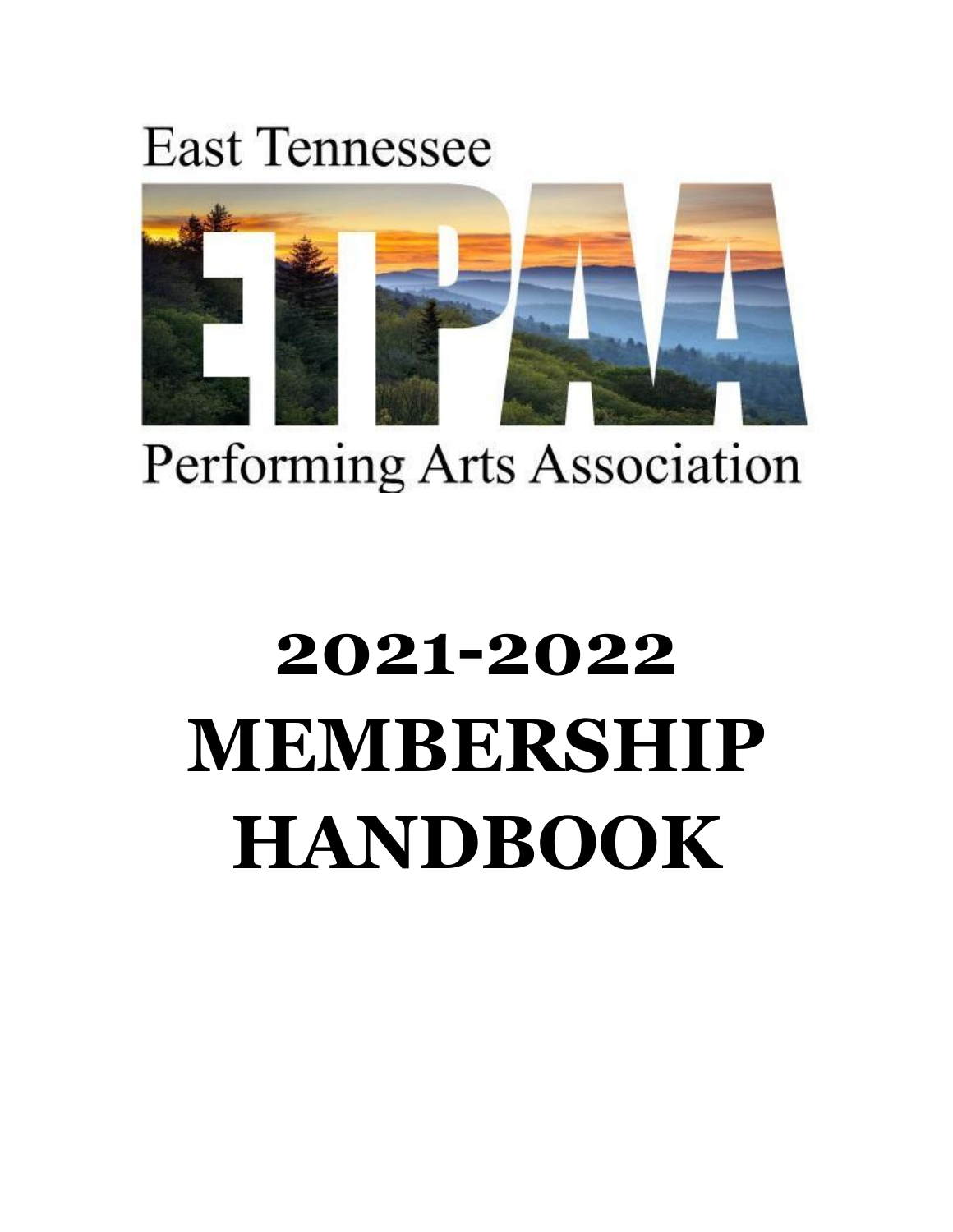## **East Tennessee**



# **Performing Arts Association**

# **2021-2022 MEMBERSHIP HANDBOOK**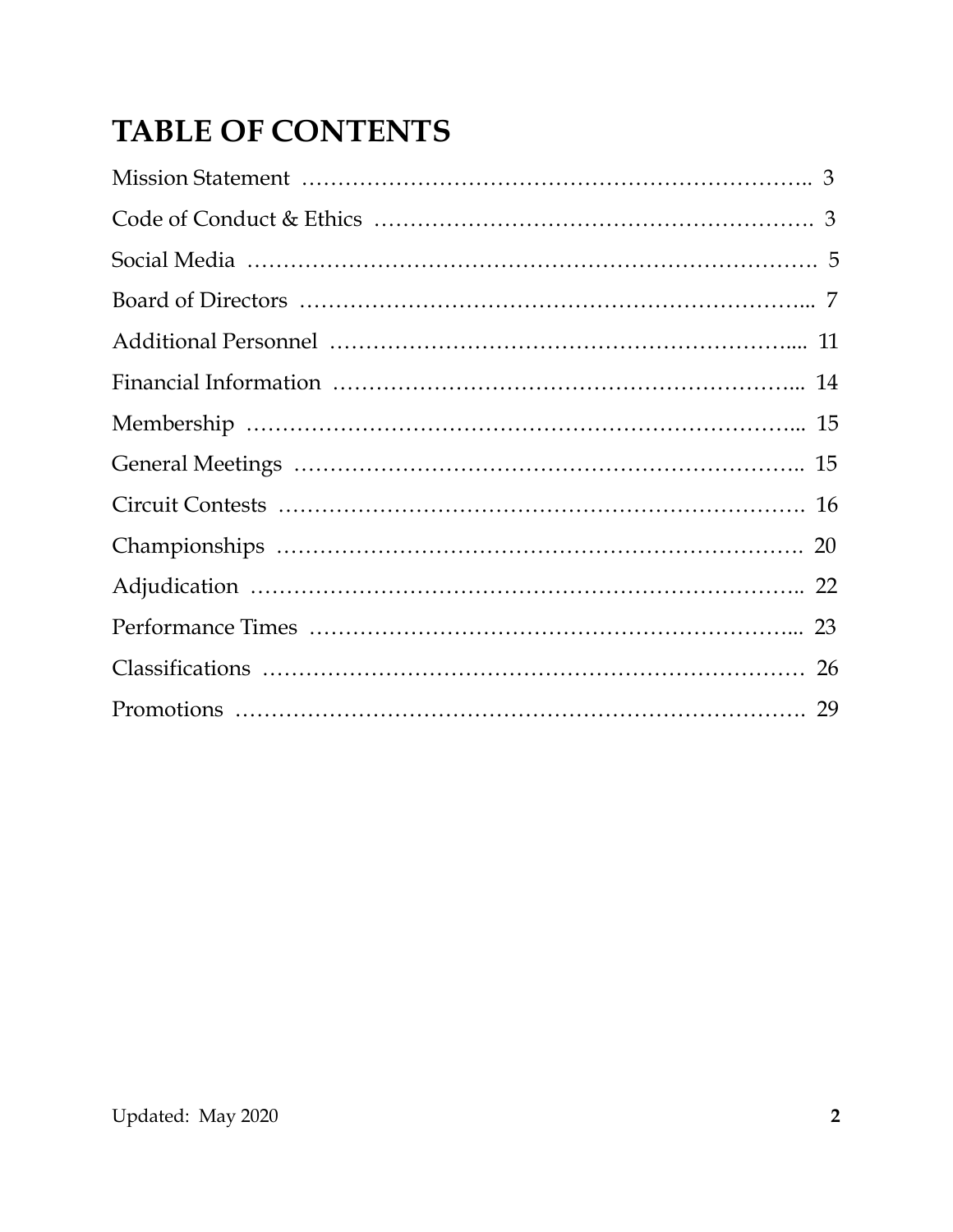### **TABLE OF CONTENTS**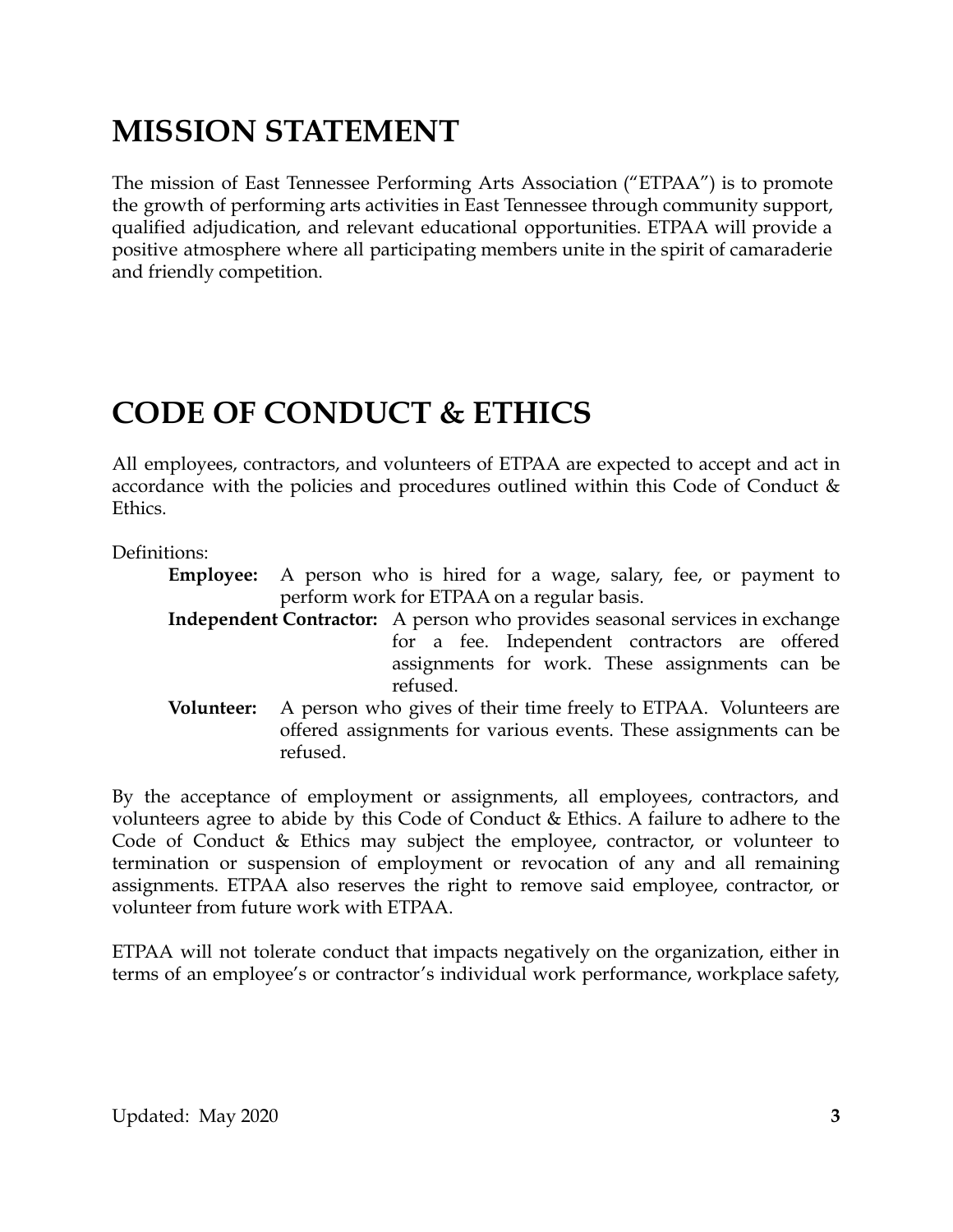### **MISSION STATEMENT**

The mission of East Tennessee Performing Arts Association ("ETPAA") is to promote the growth of performing arts activities in East Tennessee through community support, qualified adjudication, and relevant educational opportunities. ETPAA will provide a positive atmosphere where all participating members unite in the spirit of camaraderie and friendly competition.

### **CODE OF CONDUCT & ETHICS**

All employees, contractors, and volunteers of ETPAA are expected to accept and act in accordance with the policies and procedures outlined within this Code of Conduct & **Ethics** 

Definitions:

- **Employee:** A person who is hired for a wage, salary, fee, or payment to perform work for ETPAA on a regular basis.
- **Independent Contractor:** A person who provides seasonal services in exchange for a fee. Independent contractors are offered assignments for work. These assignments can be refused.
- **Volunteer:** A person who gives of their time freely to ETPAA. Volunteers are offered assignments for various events. These assignments can be refused.

By the acceptance of employment or assignments, all employees, contractors, and volunteers agree to abide by this Code of Conduct & Ethics. A failure to adhere to the Code of Conduct & Ethics may subject the employee, contractor, or volunteer to termination or suspension of employment or revocation of any and all remaining assignments. ETPAA also reserves the right to remove said employee, contractor, or volunteer from future work with ETPAA.

ETPAA will not tolerate conduct that impacts negatively on the organization, either in terms of an employee's or contractor's individual work performance, workplace safety,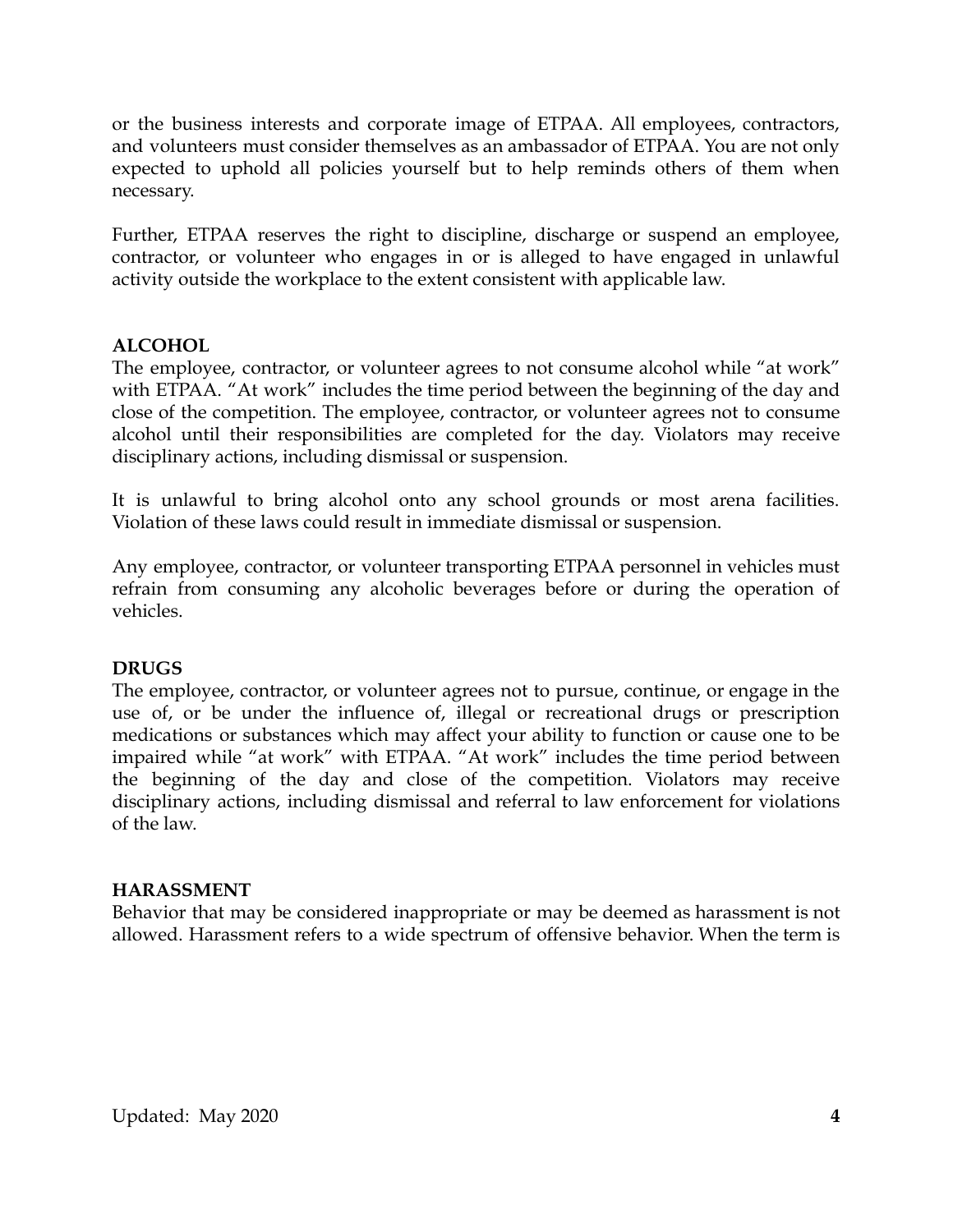or the business interests and corporate image of ETPAA. All employees, contractors, and volunteers must consider themselves as an ambassador of ETPAA. You are not only expected to uphold all policies yourself but to help reminds others of them when necessary.

Further, ETPAA reserves the right to discipline, discharge or suspend an employee, contractor, or volunteer who engages in or is alleged to have engaged in unlawful activity outside the workplace to the extent consistent with applicable law.

#### **ALCOHOL**

The employee, contractor, or volunteer agrees to not consume alcohol while "at work" with ETPAA. "At work" includes the time period between the beginning of the day and close of the competition. The employee, contractor, or volunteer agrees not to consume alcohol until their responsibilities are completed for the day. Violators may receive disciplinary actions, including dismissal or suspension.

It is unlawful to bring alcohol onto any school grounds or most arena facilities. Violation of these laws could result in immediate dismissal or suspension.

Any employee, contractor, or volunteer transporting ETPAA personnel in vehicles must refrain from consuming any alcoholic beverages before or during the operation of vehicles.

#### **DRUGS**

The employee, contractor, or volunteer agrees not to pursue, continue, or engage in the use of, or be under the influence of, illegal or recreational drugs or prescription medications or substances which may affect your ability to function or cause one to be impaired while "at work" with ETPAA. "At work" includes the time period between the beginning of the day and close of the competition. Violators may receive disciplinary actions, including dismissal and referral to law enforcement for violations of the law.

#### **HARASSMENT**

Behavior that may be considered inappropriate or may be deemed as harassment is not allowed. Harassment refers to a wide spectrum of offensive behavior. When the term is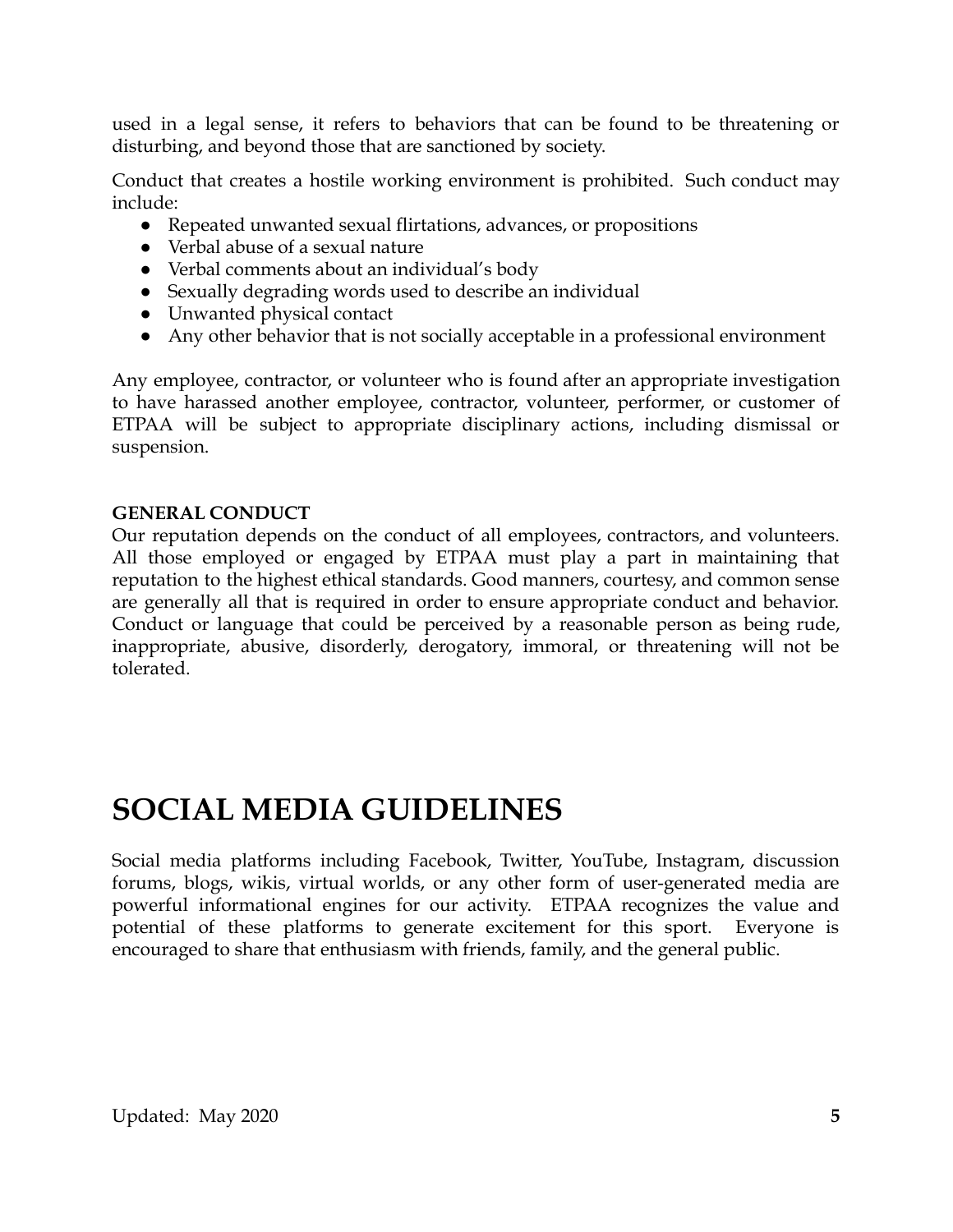used in a legal sense, it refers to behaviors that can be found to be threatening or disturbing, and beyond those that are sanctioned by society.

Conduct that creates a hostile working environment is prohibited. Such conduct may include:

- Repeated unwanted sexual flirtations, advances, or propositions
- Verbal abuse of a sexual nature
- Verbal comments about an individual's body
- Sexually degrading words used to describe an individual
- Unwanted physical contact
- Any other behavior that is not socially acceptable in a professional environment

Any employee, contractor, or volunteer who is found after an appropriate investigation to have harassed another employee, contractor, volunteer, performer, or customer of ETPAA will be subject to appropriate disciplinary actions, including dismissal or suspension.

#### **GENERAL CONDUCT**

Our reputation depends on the conduct of all employees, contractors, and volunteers. All those employed or engaged by ETPAA must play a part in maintaining that reputation to the highest ethical standards. Good manners, courtesy, and common sense are generally all that is required in order to ensure appropriate conduct and behavior. Conduct or language that could be perceived by a reasonable person as being rude, inappropriate, abusive, disorderly, derogatory, immoral, or threatening will not be tolerated.

### **SOCIAL MEDIA GUIDELINES**

Social media platforms including Facebook, Twitter, YouTube, Instagram, discussion forums, blogs, wikis, virtual worlds, or any other form of user-generated media are powerful informational engines for our activity. ETPAA recognizes the value and potential of these platforms to generate excitement for this sport. Everyone is encouraged to share that enthusiasm with friends, family, and the general public.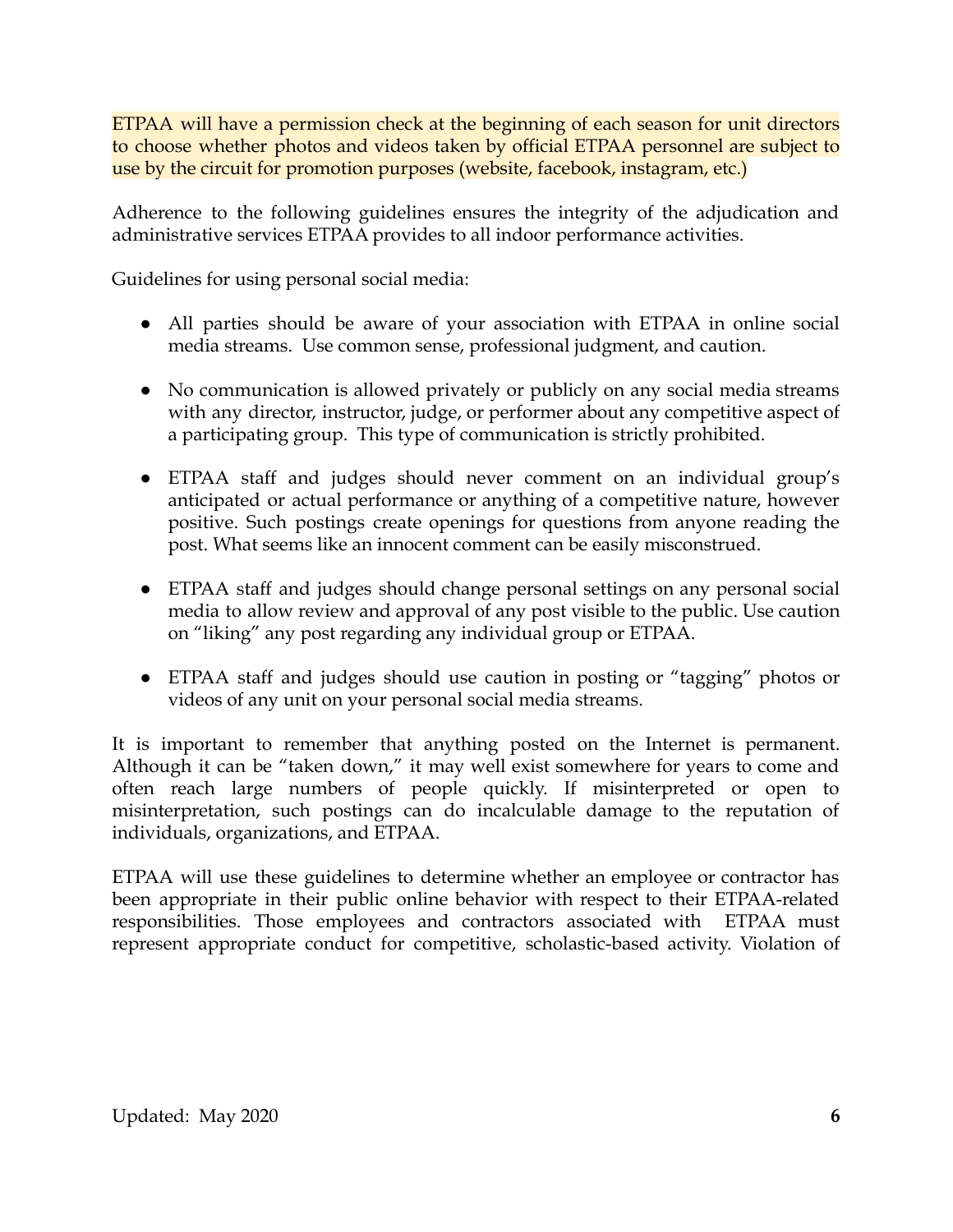ETPAA will have a permission check at the beginning of each season for unit directors to choose whether photos and videos taken by official ETPAA personnel are subject to use by the circuit for promotion purposes (website, facebook, instagram, etc.)

Adherence to the following guidelines ensures the integrity of the adjudication and administrative services ETPAA provides to all indoor performance activities.

Guidelines for using personal social media:

- All parties should be aware of your association with ETPAA in online social media streams. Use common sense, professional judgment, and caution.
- No communication is allowed privately or publicly on any social media streams with any director, instructor, judge, or performer about any competitive aspect of a participating group. This type of communication is strictly prohibited.
- ETPAA staff and judges should never comment on an individual group's anticipated or actual performance or anything of a competitive nature, however positive. Such postings create openings for questions from anyone reading the post. What seems like an innocent comment can be easily misconstrued.
- ETPAA staff and judges should change personal settings on any personal social media to allow review and approval of any post visible to the public. Use caution on "liking" any post regarding any individual group or ETPAA.
- ETPAA staff and judges should use caution in posting or "tagging" photos or videos of any unit on your personal social media streams.

It is important to remember that anything posted on the Internet is permanent. Although it can be "taken down," it may well exist somewhere for years to come and often reach large numbers of people quickly. If misinterpreted or open to misinterpretation, such postings can do incalculable damage to the reputation of individuals, organizations, and ETPAA.

ETPAA will use these guidelines to determine whether an employee or contractor has been appropriate in their public online behavior with respect to their ETPAA-related responsibilities. Those employees and contractors associated with ETPAA must represent appropriate conduct for competitive, scholastic-based activity. Violation of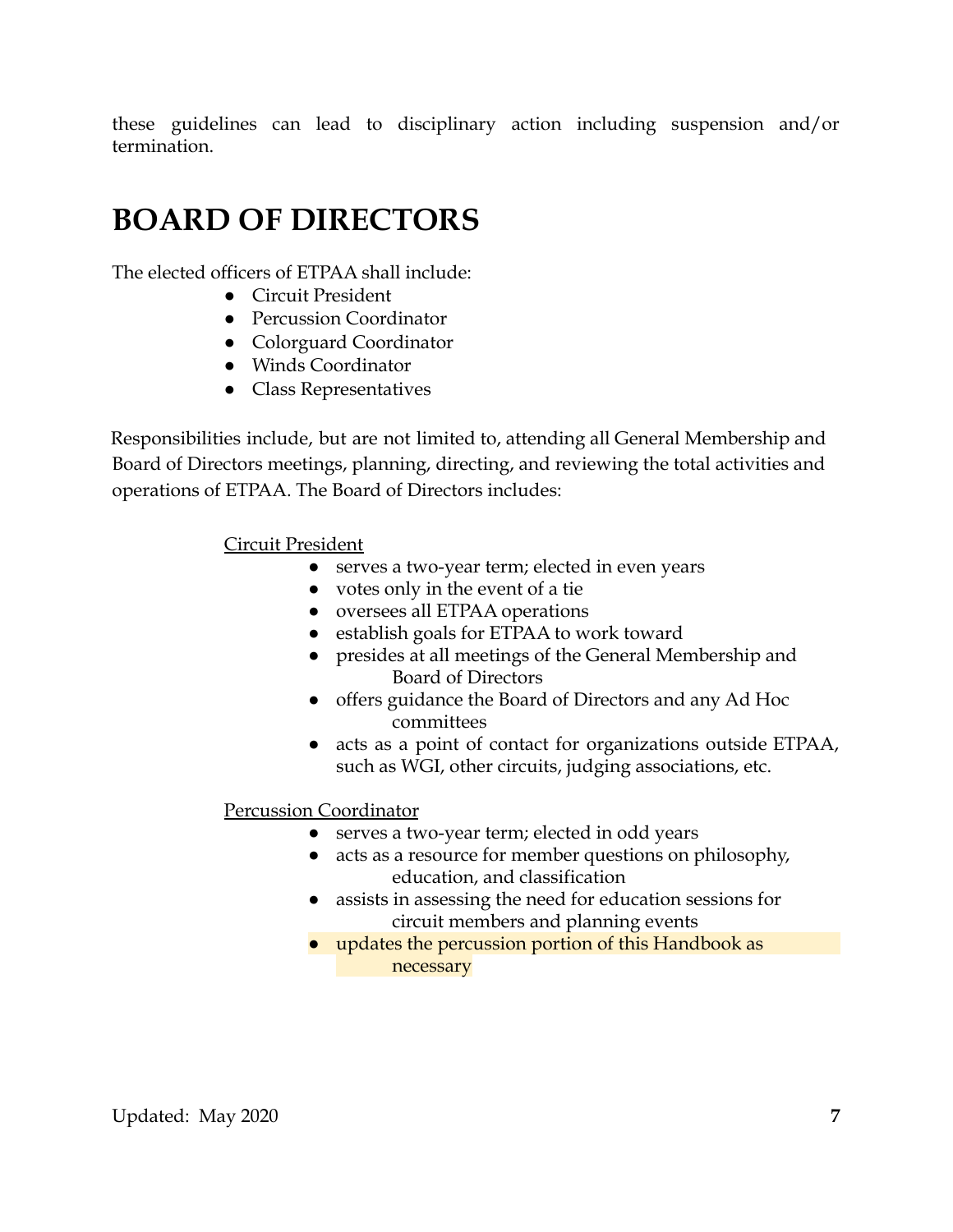these guidelines can lead to disciplinary action including suspension and/or termination.

### **BOARD OF DIRECTORS**

The elected officers of ETPAA shall include:

- Circuit President
- Percussion Coordinator
- Colorguard Coordinator
- Winds Coordinator
- Class Representatives

Responsibilities include, but are not limited to, attending all General Membership and Board of Directors meetings, planning, directing, and reviewing the total activities and operations of ETPAA. The Board of Directors includes:

Circuit President

- serves a two-year term; elected in even years
- votes only in the event of a tie
- oversees all ETPAA operations
- establish goals for ETPAA to work toward
- presides at all meetings of the General Membership and Board of Directors
- offers guidance the Board of Directors and any Ad Hoc committees
- acts as a point of contact for organizations outside ETPAA, such as WGI, other circuits, judging associations, etc.

#### Percussion Coordinator

- serves a two-year term; elected in odd years
- acts as a resource for member questions on philosophy, education, and classification
- assists in assessing the need for education sessions for circuit members and planning events
- updates the percussion portion of this Handbook as necessary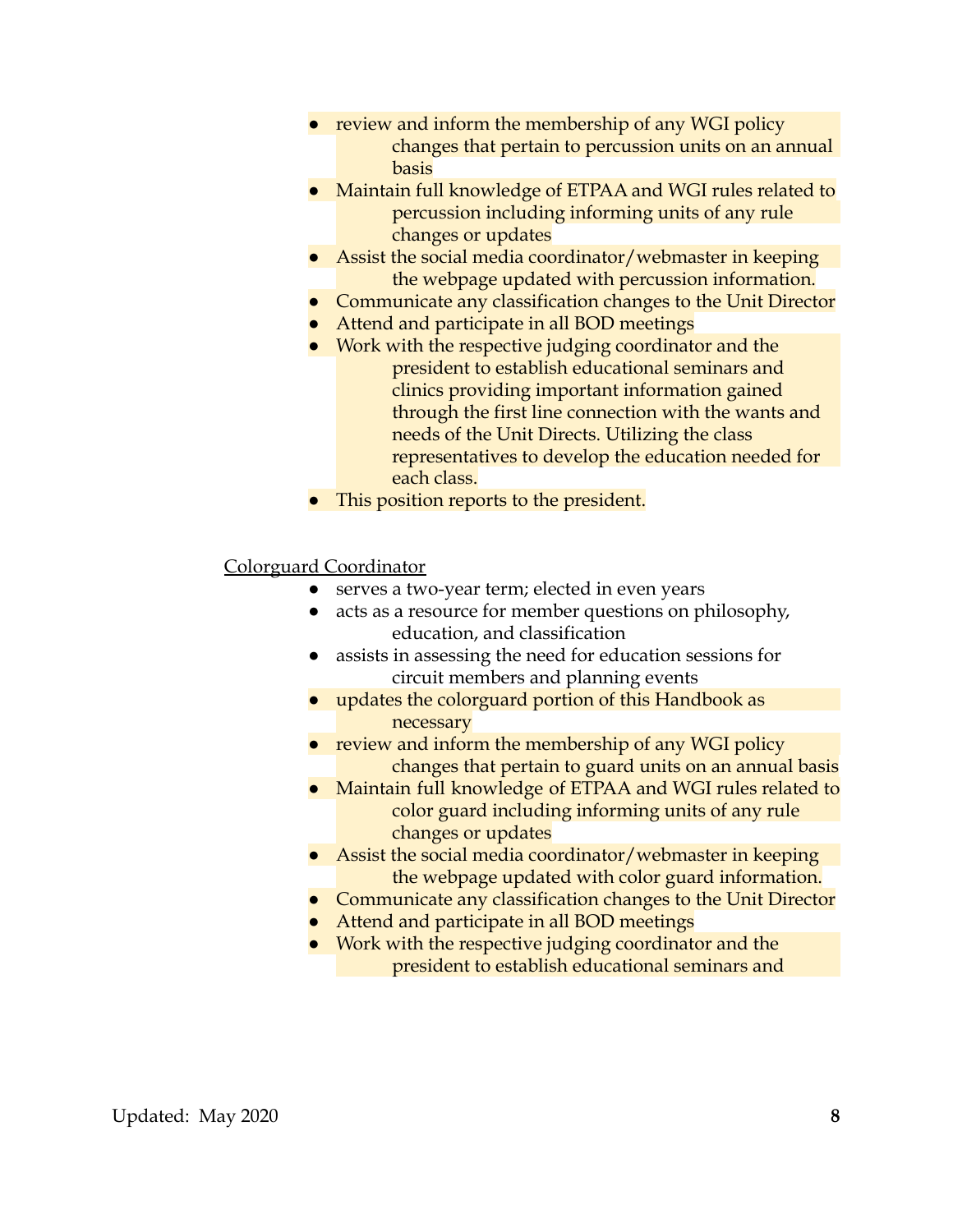- review and inform the membership of any WGI policy changes that pertain to percussion units on an annual basis
- Maintain full knowledge of ETPAA and WGI rules related to percussion including informing units of any rule changes or updates
- Assist the social media coordinator/webmaster in keeping the webpage updated with percussion information.
- Communicate any classification changes to the Unit Director
- Attend and participate in all BOD meetings
- Work with the respective judging coordinator and the president to establish educational seminars and clinics providing important information gained through the first line connection with the wants and needs of the Unit Directs. Utilizing the class representatives to develop the education needed for each class.
- This position reports to the president.

#### Colorguard Coordinator

- serves a two-year term; elected in even years
- acts as a resource for member questions on philosophy, education, and classification
- assists in assessing the need for education sessions for circuit members and planning events
- updates the colorguard portion of this Handbook as necessary
- review and inform the membership of any WGI policy changes that pertain to guard units on an annual basis
- Maintain full knowledge of ETPAA and WGI rules related to color guard including informing units of any rule changes or updates
- Assist the social media coordinator/webmaster in keeping the webpage updated with color guard information.
- Communicate any classification changes to the Unit Director
- Attend and participate in all BOD meetings
- Work with the respective judging coordinator and the president to establish educational seminars and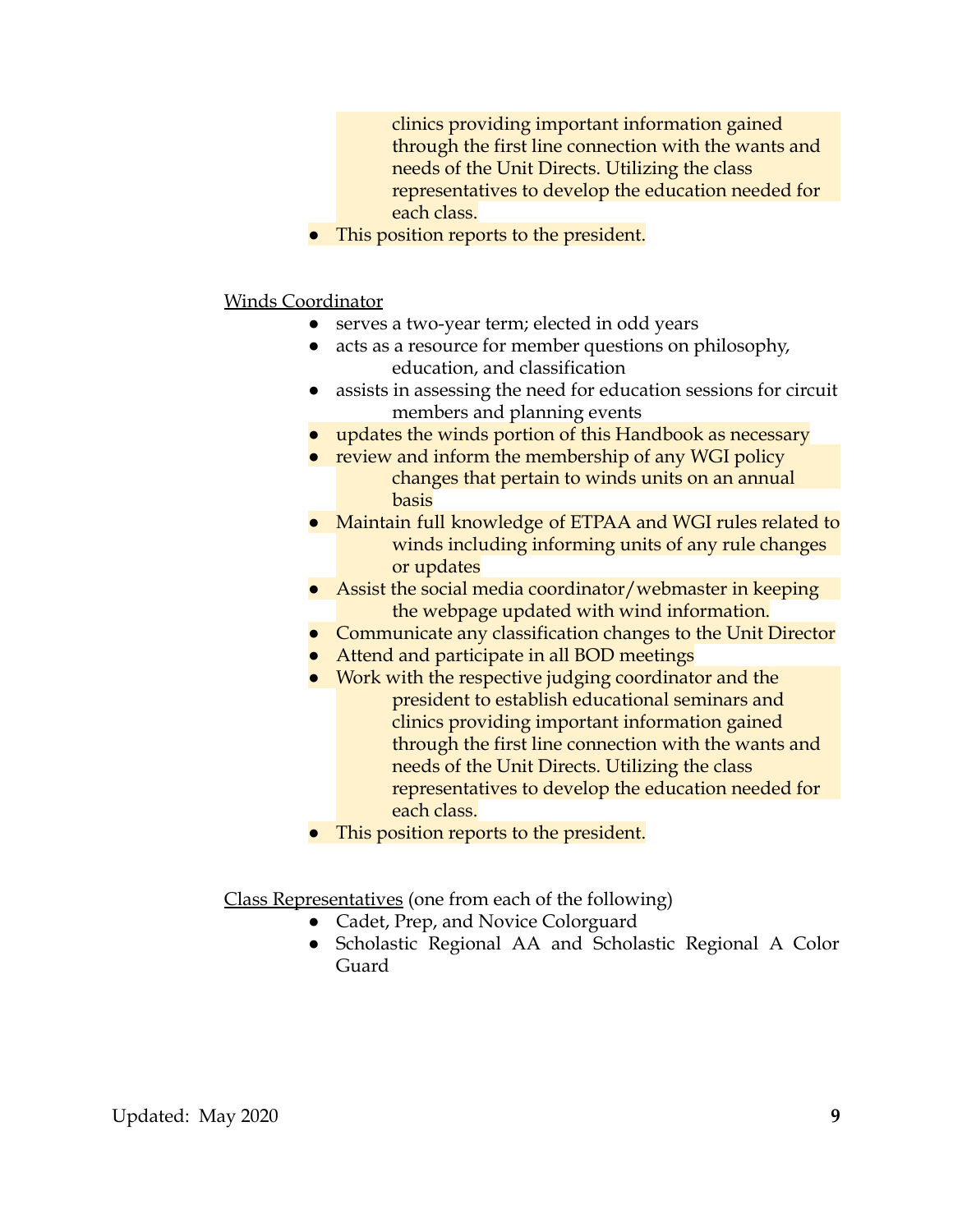clinics providing important information gained through the first line connection with the wants and needs of the Unit Directs. Utilizing the class representatives to develop the education needed for each class.

This position reports to the president.

#### Winds Coordinator

- serves a two-year term; elected in odd years
- acts as a resource for member questions on philosophy, education, and classification
- assists in assessing the need for education sessions for circuit members and planning events
- updates the winds portion of this Handbook as necessary
- review and inform the membership of any WGI policy changes that pertain to winds units on an annual basis
- Maintain full knowledge of ETPAA and WGI rules related to winds including informing units of any rule changes or updates
- Assist the social media coordinator/webmaster in keeping the webpage updated with wind information.
- Communicate any classification changes to the Unit Director
- Attend and participate in all BOD meetings
- Work with the respective judging coordinator and the president to establish educational seminars and clinics providing important information gained through the first line connection with the wants and needs of the Unit Directs. Utilizing the class representatives to develop the education needed for each class.
- This position reports to the president.

Class Representatives (one from each of the following)

- Cadet, Prep, and Novice Colorguard
- Scholastic Regional AA and Scholastic Regional A Color Guard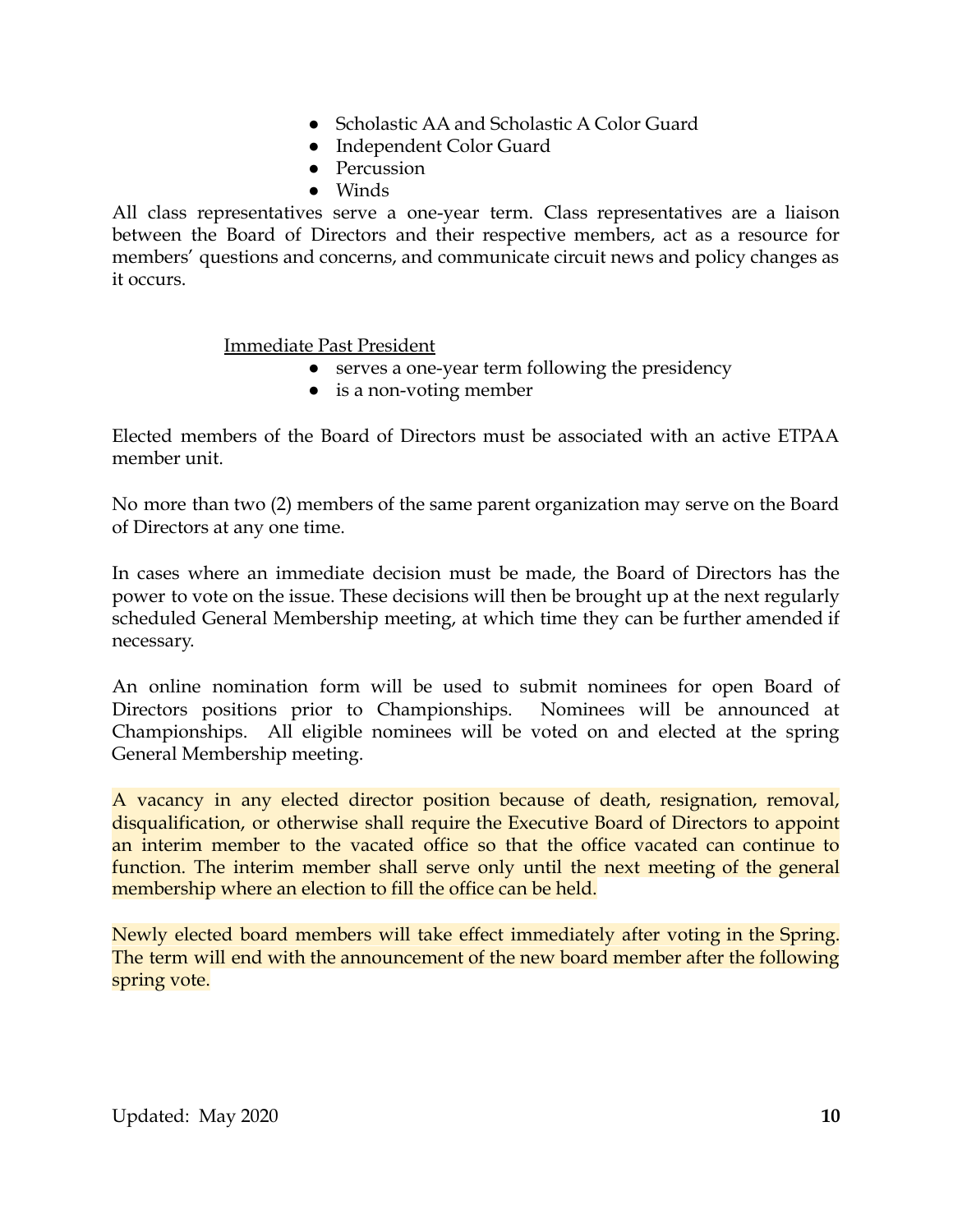- Scholastic AA and Scholastic A Color Guard
- Independent Color Guard
- Percussion
- Winds

All class representatives serve a one-year term. Class representatives are a liaison between the Board of Directors and their respective members, act as a resource for members' questions and concerns, and communicate circuit news and policy changes as it occurs.

#### Immediate Past President

- serves a one-year term following the presidency
- is a non-voting member

Elected members of the Board of Directors must be associated with an active ETPAA member unit.

No more than two (2) members of the same parent organization may serve on the Board of Directors at any one time.

In cases where an immediate decision must be made, the Board of Directors has the power to vote on the issue. These decisions will then be brought up at the next regularly scheduled General Membership meeting, at which time they can be further amended if necessary.

An online nomination form will be used to submit nominees for open Board of Directors positions prior to Championships. Nominees will be announced at Championships. All eligible nominees will be voted on and elected at the spring General Membership meeting.

A vacancy in any elected director position because of death, resignation, removal, disqualification, or otherwise shall require the Executive Board of Directors to appoint an interim member to the vacated office so that the office vacated can continue to function. The interim member shall serve only until the next meeting of the general membership where an election to fill the office can be held.

Newly elected board members will take effect immediately after voting in the Spring. The term will end with the announcement of the new board member after the following spring vote.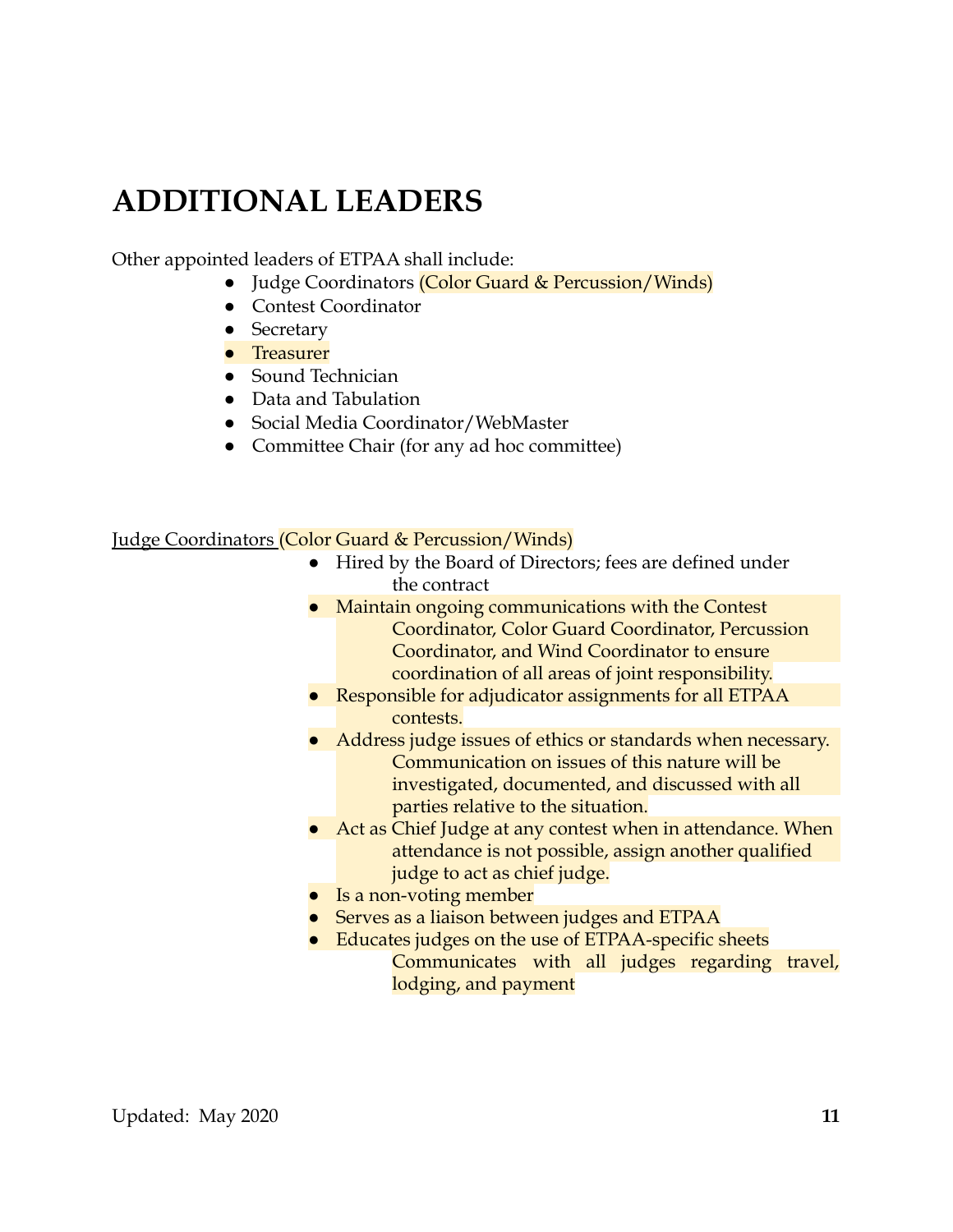### **ADDITIONAL LEADERS**

Other appointed leaders of ETPAA shall include:

- Judge Coordinators (Color Guard & Percussion/Winds)
- Contest Coordinator
- Secretary
- Treasurer
- Sound Technician
- Data and Tabulation
- Social Media Coordinator/WebMaster
- Committee Chair (for any ad hoc committee)

Judge Coordinators (Color Guard & Percussion/Winds)

- Hired by the Board of Directors; fees are defined under the contract
- Maintain ongoing communications with the Contest
	- Coordinator, Color Guard Coordinator, Percussion Coordinator, and Wind Coordinator to ensure coordination of all areas of joint responsibility.
- Responsible for adjudicator assignments for all ETPAA contests.
- Address judge issues of ethics or standards when necessary. Communication on issues of this nature will be investigated, documented, and discussed with all parties relative to the situation.
- Act as Chief Judge at any contest when in attendance. When attendance is not possible, assign another qualified judge to act as chief judge.
- Is a non-voting member
- Serves as a liaison between judges and ETPAA
- Educates judges on the use of ETPAA-specific sheets Communicates with all judges regarding travel, lodging, and payment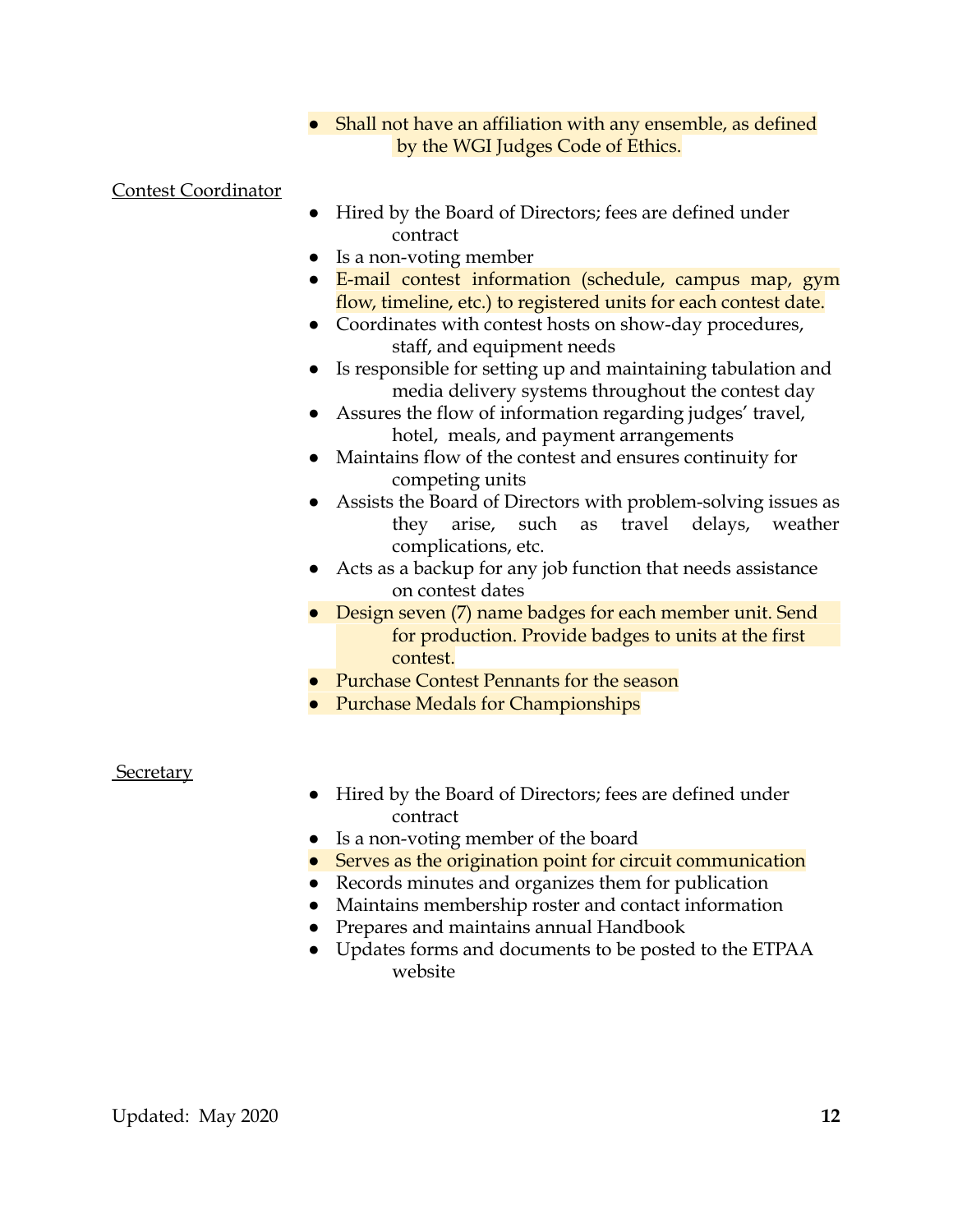Shall not have an affiliation with any ensemble, as defined by the WGI Judges Code of Ethics.

Contest Coordinator

- Hired by the Board of Directors; fees are defined under contract
- Is a non-voting member
- E-mail contest information (schedule, campus map, gym flow, timeline, etc.) to registered units for each contest date.
- Coordinates with contest hosts on show-day procedures, staff, and equipment needs
- Is responsible for setting up and maintaining tabulation and media delivery systems throughout the contest day
- Assures the flow of information regarding judges' travel, hotel, meals, and payment arrangements
- Maintains flow of the contest and ensures continuity for competing units
- Assists the Board of Directors with problem-solving issues as they arise, such as travel delays, weather complications, etc.
- Acts as a backup for any job function that needs assistance on contest dates
- Design seven (7) name badges for each member unit. Send for production. Provide badges to units at the first contest.
- **Purchase Contest Pennants for the season**
- Purchase Medals for Championships

#### **Secretary**

- Hired by the Board of Directors; fees are defined under contract
- Is a non-voting member of the board
- Serves as the origination point for circuit communication
- Records minutes and organizes them for publication
- Maintains membership roster and contact information
- **Prepares and maintains annual Handbook**
- Updates forms and documents to be posted to the ETPAA website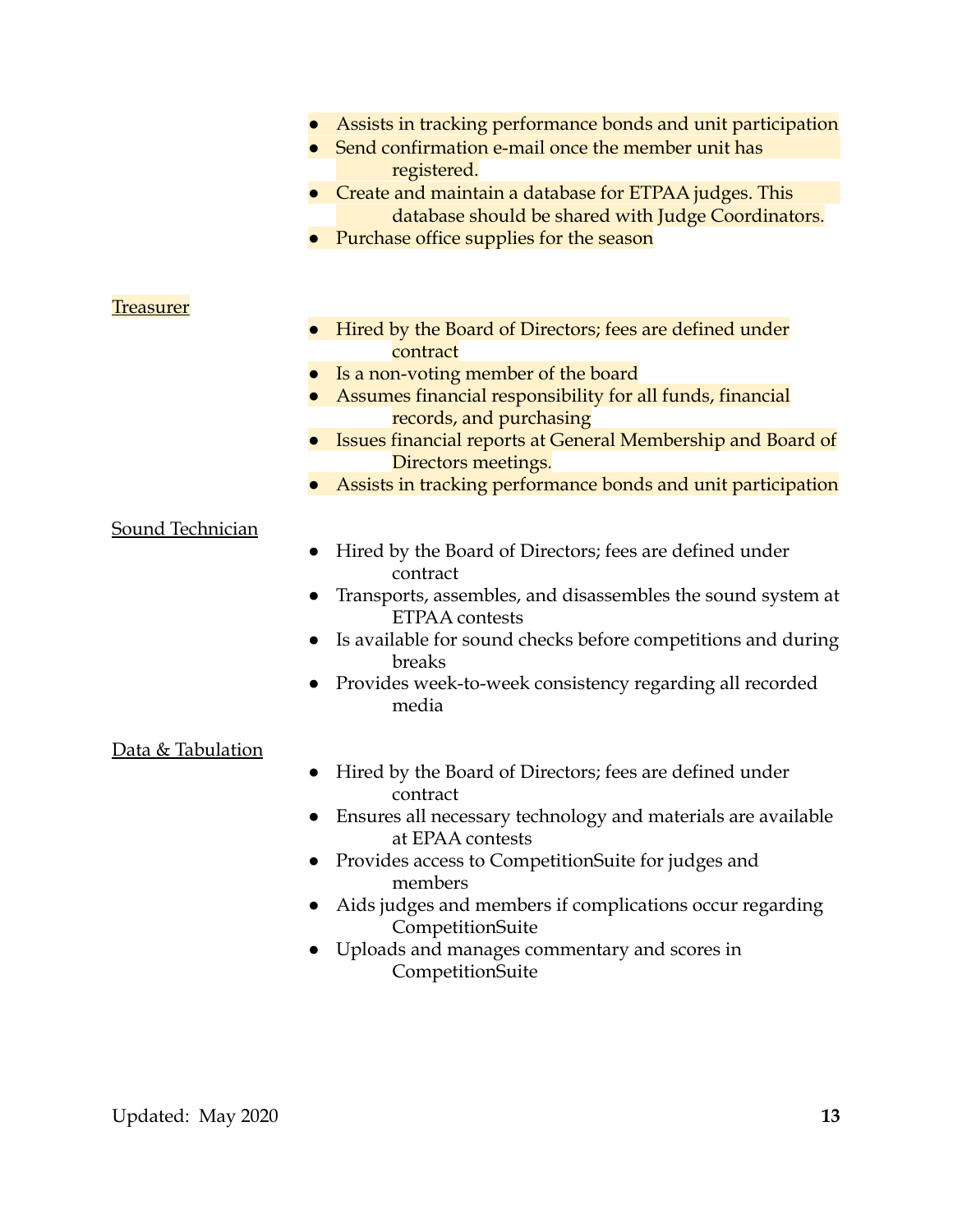- Assists in tracking performance bonds and unit participation
- Send confirmation e-mail once the member unit has registered.
- Create and maintain a database for ETPAA judges. This database should be shared with Judge Coordinators.
- Purchase office supplies for the season

#### **Treasurer**

- Hired by the Board of Directors; fees are defined under contract
- Is a non-voting member of the board
- Assumes financial responsibility for all funds, financial records, and purchasing
- Issues financial reports at General Membership and Board of Directors meetings.
- Assists in tracking performance bonds and unit participation

#### Sound Technician

- Hired by the Board of Directors; fees are defined under contract
- Transports, assembles, and disassembles the sound system at ETPAA contests
- Is available for sound checks before competitions and during breaks
- Provides week-to-week consistency regarding all recorded media

#### Data & Tabulation

- Hired by the Board of Directors; fees are defined under contract
- Ensures all necessary technology and materials are available at EPAA contests
- Provides access to CompetitionSuite for judges and members
- Aids judges and members if complications occur regarding CompetitionSuite
- Uploads and manages commentary and scores in CompetitionSuite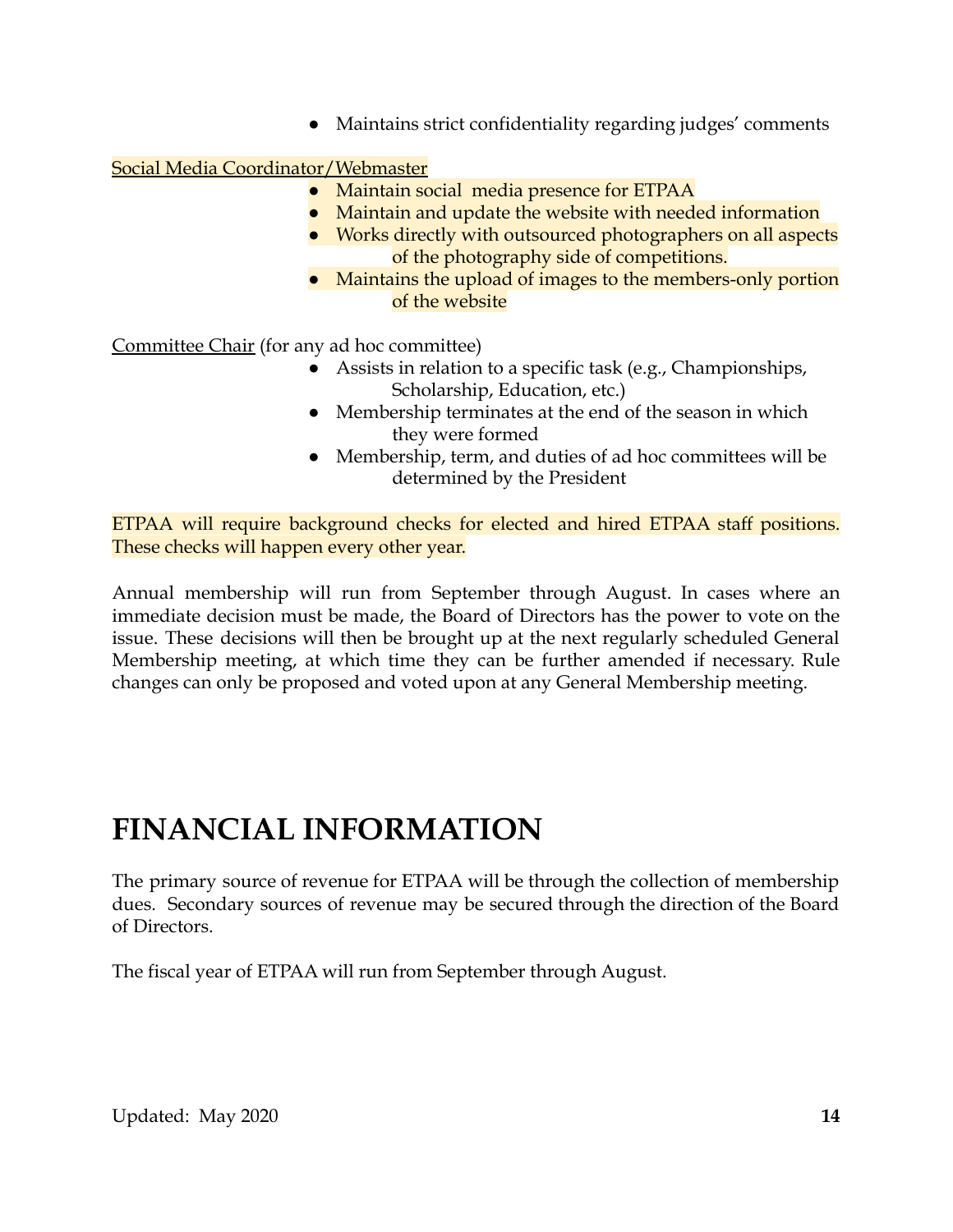• Maintains strict confidentiality regarding judges' comments

#### Social Media Coordinator/Webmaster

- Maintain social media presence for ETPAA
- Maintain and update the website with needed information
- Works directly with outsourced photographers on all aspects of the photography side of competitions.
- Maintains the upload of images to the members-only portion of the website

Committee Chair (for any ad hoc committee)

- Assists in relation to a specific task (e.g., Championships, Scholarship, Education, etc.)
- Membership terminates at the end of the season in which they were formed
- Membership, term, and duties of ad hoc committees will be determined by the President

ETPAA will require background checks for elected and hired ETPAA staff positions. These checks will happen every other year.

Annual membership will run from September through August. In cases where an immediate decision must be made, the Board of Directors has the power to vote on the issue. These decisions will then be brought up at the next regularly scheduled General Membership meeting, at which time they can be further amended if necessary. Rule changes can only be proposed and voted upon at any General Membership meeting.

### **FINANCIAL INFORMATION**

The primary source of revenue for ETPAA will be through the collection of membership dues. Secondary sources of revenue may be secured through the direction of the Board of Directors.

The fiscal year of ETPAA will run from September through August.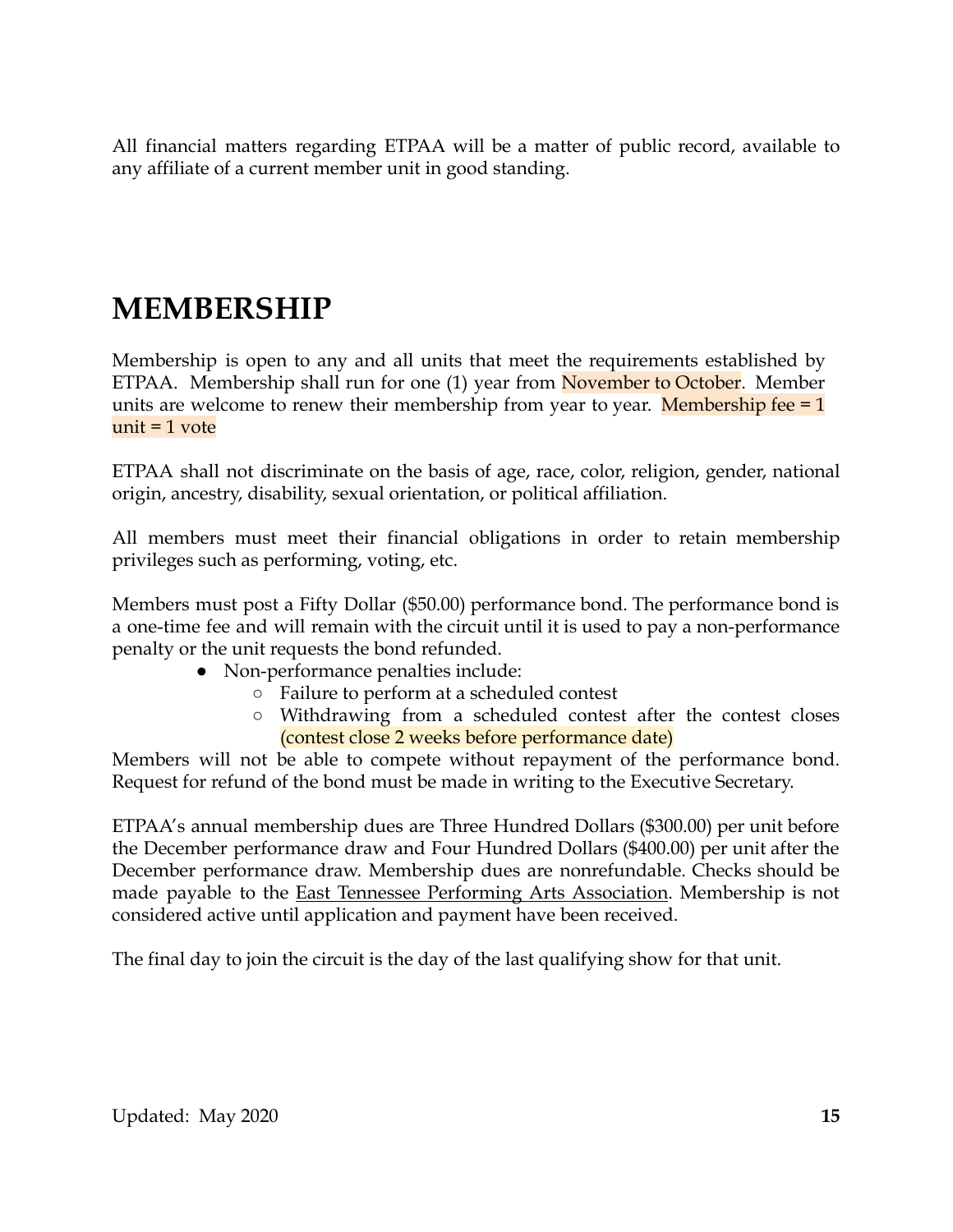All financial matters regarding ETPAA will be a matter of public record, available to any affiliate of a current member unit in good standing.

### **MEMBERSHIP**

Membership is open to any and all units that meet the requirements established by ETPAA. Membership shall run for one (1) year from November to October. Member units are welcome to renew their membership from year to year. Membership fee  $= 1$  $unit = 1$  vote

ETPAA shall not discriminate on the basis of age, race, color, religion, gender, national origin, ancestry, disability, sexual orientation, or political affiliation.

All members must meet their financial obligations in order to retain membership privileges such as performing, voting, etc.

Members must post a Fifty Dollar (\$50.00) performance bond. The performance bond is a one-time fee and will remain with the circuit until it is used to pay a non-performance penalty or the unit requests the bond refunded.

- Non-performance penalties include:
	- Failure to perform at a scheduled contest
	- Withdrawing from a scheduled contest after the contest closes (contest close 2 weeks before performance date)

Members will not be able to compete without repayment of the performance bond. Request for refund of the bond must be made in writing to the Executive Secretary.

ETPAA's annual membership dues are Three Hundred Dollars (\$300.00) per unit before the December performance draw and Four Hundred Dollars (\$400.00) per unit after the December performance draw. Membership dues are nonrefundable. Checks should be made payable to the East Tennessee Performing Arts Association. Membership is not considered active until application and payment have been received.

The final day to join the circuit is the day of the last qualifying show for that unit.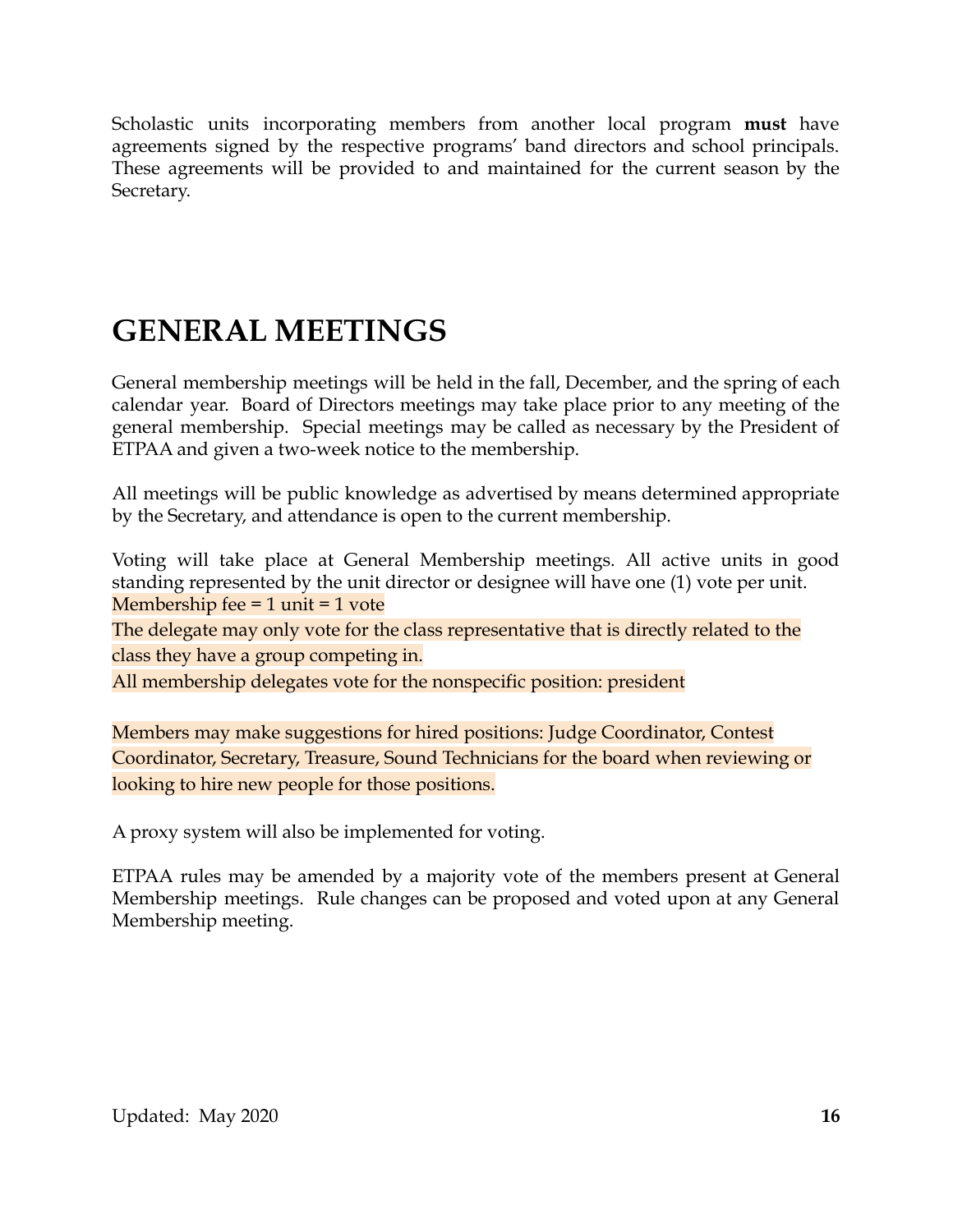Scholastic units incorporating members from another local program **must** have agreements signed by the respective programs' band directors and school principals. These agreements will be provided to and maintained for the current season by the Secretary.

### **GENERAL MEETINGS**

General membership meetings will be held in the fall, December, and the spring of each calendar year. Board of Directors meetings may take place prior to any meeting of the general membership. Special meetings may be called as necessary by the President of ETPAA and given a two-week notice to the membership.

All meetings will be public knowledge as advertised by means determined appropriate by the Secretary, and attendance is open to the current membership.

Voting will take place at General Membership meetings. All active units in good standing represented by the unit director or designee will have one (1) vote per unit. Membership fee  $= 1$  unit  $= 1$  vote

The delegate may only vote for the class representative that is directly related to the class they have a group competing in.

All membership delegates vote for the nonspecific position: president

Members may make suggestions for hired positions: Judge Coordinator, Contest Coordinator, Secretary, Treasure, Sound Technicians for the board when reviewing or looking to hire new people for those positions.

A proxy system will also be implemented for voting.

ETPAA rules may be amended by a majority vote of the members present at General Membership meetings. Rule changes can be proposed and voted upon at any General Membership meeting.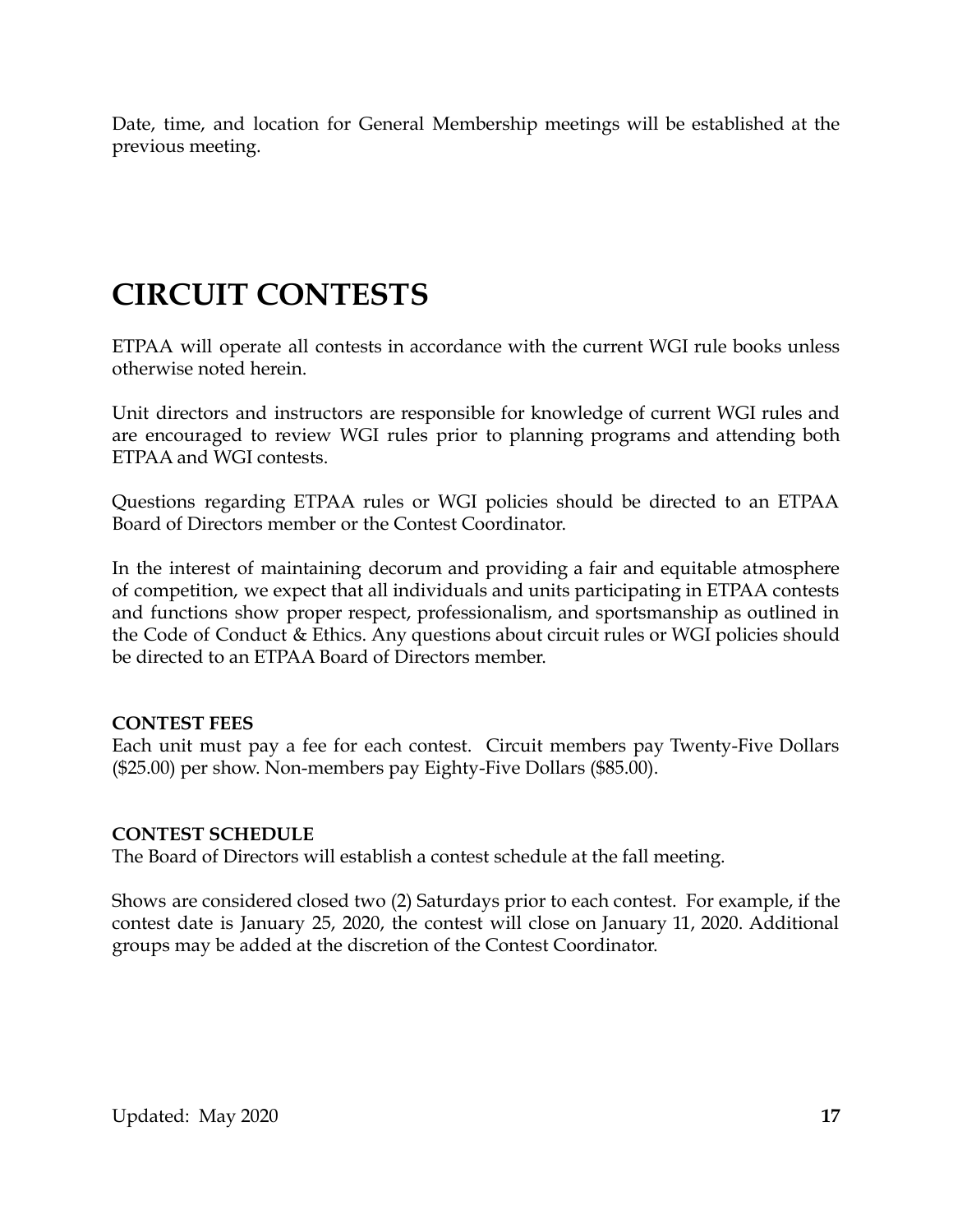Date, time, and location for General Membership meetings will be established at the previous meeting.

### **CIRCUIT CONTESTS**

ETPAA will operate all contests in accordance with the current WGI rule books unless otherwise noted herein.

Unit directors and instructors are responsible for knowledge of current WGI rules and are encouraged to review WGI rules prior to planning programs and attending both ETPAA and WGI contests.

Questions regarding ETPAA rules or WGI policies should be directed to an ETPAA Board of Directors member or the Contest Coordinator.

In the interest of maintaining decorum and providing a fair and equitable atmosphere of competition, we expect that all individuals and units participating in ETPAA contests and functions show proper respect, professionalism, and sportsmanship as outlined in the Code of Conduct & Ethics. Any questions about circuit rules or WGI policies should be directed to an ETPAA Board of Directors member.

#### **CONTEST FEES**

Each unit must pay a fee for each contest. Circuit members pay Twenty-Five Dollars (\$25.00) per show. Non-members pay Eighty-Five Dollars (\$85.00).

#### **CONTEST SCHEDULE**

The Board of Directors will establish a contest schedule at the fall meeting.

Shows are considered closed two (2) Saturdays prior to each contest. For example, if the contest date is January 25, 2020, the contest will close on January 11, 2020. Additional groups may be added at the discretion of the Contest Coordinator.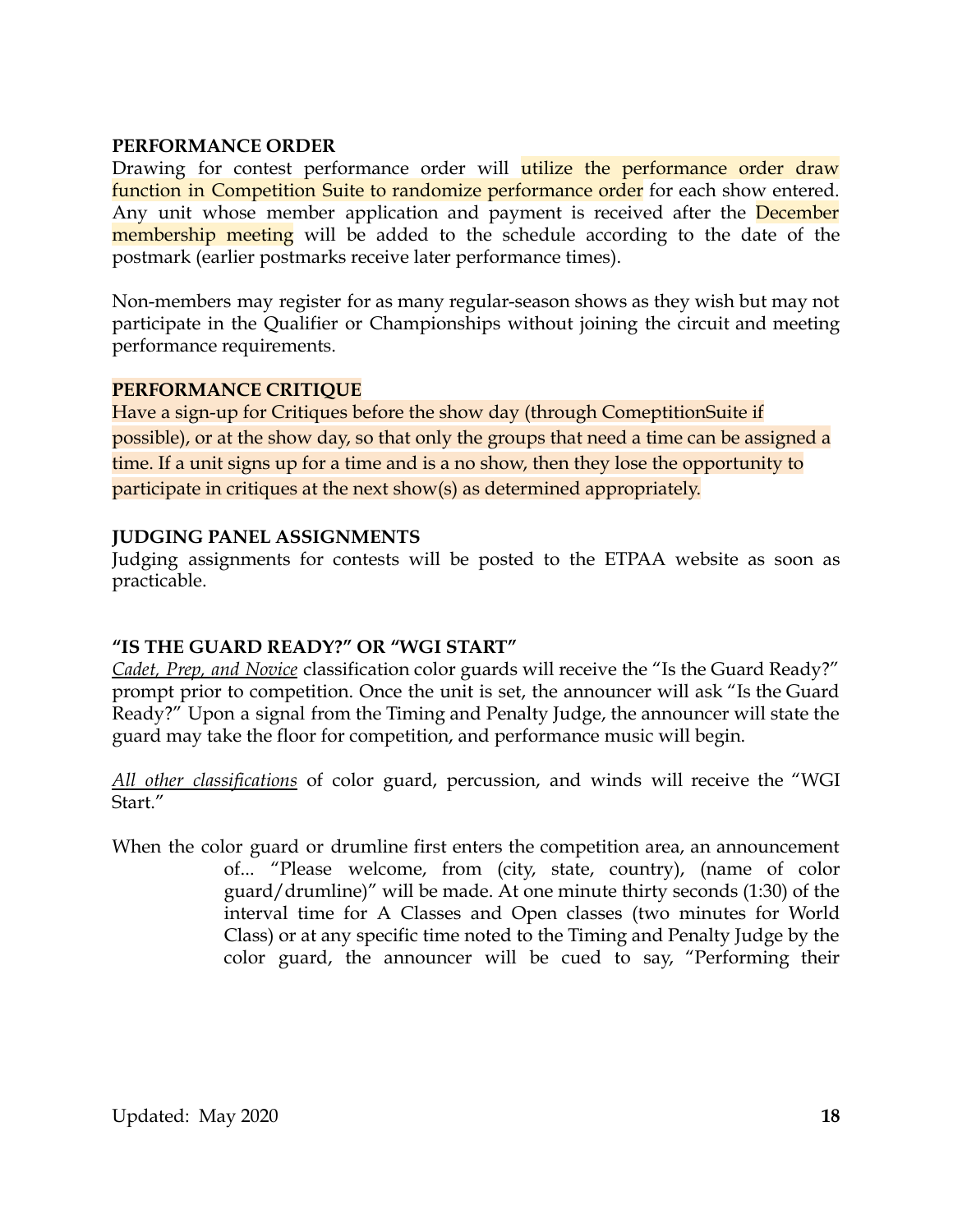#### **PERFORMANCE ORDER**

Drawing for contest performance order will utilize the performance order draw function in Competition Suite to randomize performance order for each show entered. Any unit whose member application and payment is received after the December membership meeting will be added to the schedule according to the date of the postmark (earlier postmarks receive later performance times).

Non-members may register for as many regular-season shows as they wish but may not participate in the Qualifier or Championships without joining the circuit and meeting performance requirements.

#### **PERFORMANCE CRITIQUE**

Have a sign-up for Critiques before the show day (through ComeptitionSuite if possible), or at the show day, so that only the groups that need a time can be assigned a time. If a unit signs up for a time and is a no show, then they lose the opportunity to participate in critiques at the next show(s) as determined appropriately.

#### **JUDGING PANEL ASSIGNMENTS**

Judging assignments for contests will be posted to the ETPAA website as soon as practicable.

#### **"IS THE GUARD READY?" OR "WGI START"**

*Cadet, Prep, and Novice* classification color guards will receive the "Is the Guard Ready?" prompt prior to competition. Once the unit is set, the announcer will ask "Is the Guard Ready?" Upon a signal from the Timing and Penalty Judge, the announcer will state the guard may take the floor for competition, and performance music will begin.

*All other classifications* of color guard, percussion, and winds will receive the "WGI Start<sup>"</sup>

When the color guard or drumline first enters the competition area, an announcement of... "Please welcome, from (city, state, country), (name of color guard/drumline)" will be made. At one minute thirty seconds (1:30) of the interval time for A Classes and Open classes (two minutes for World Class) or at any specific time noted to the Timing and Penalty Judge by the color guard, the announcer will be cued to say, "Performing their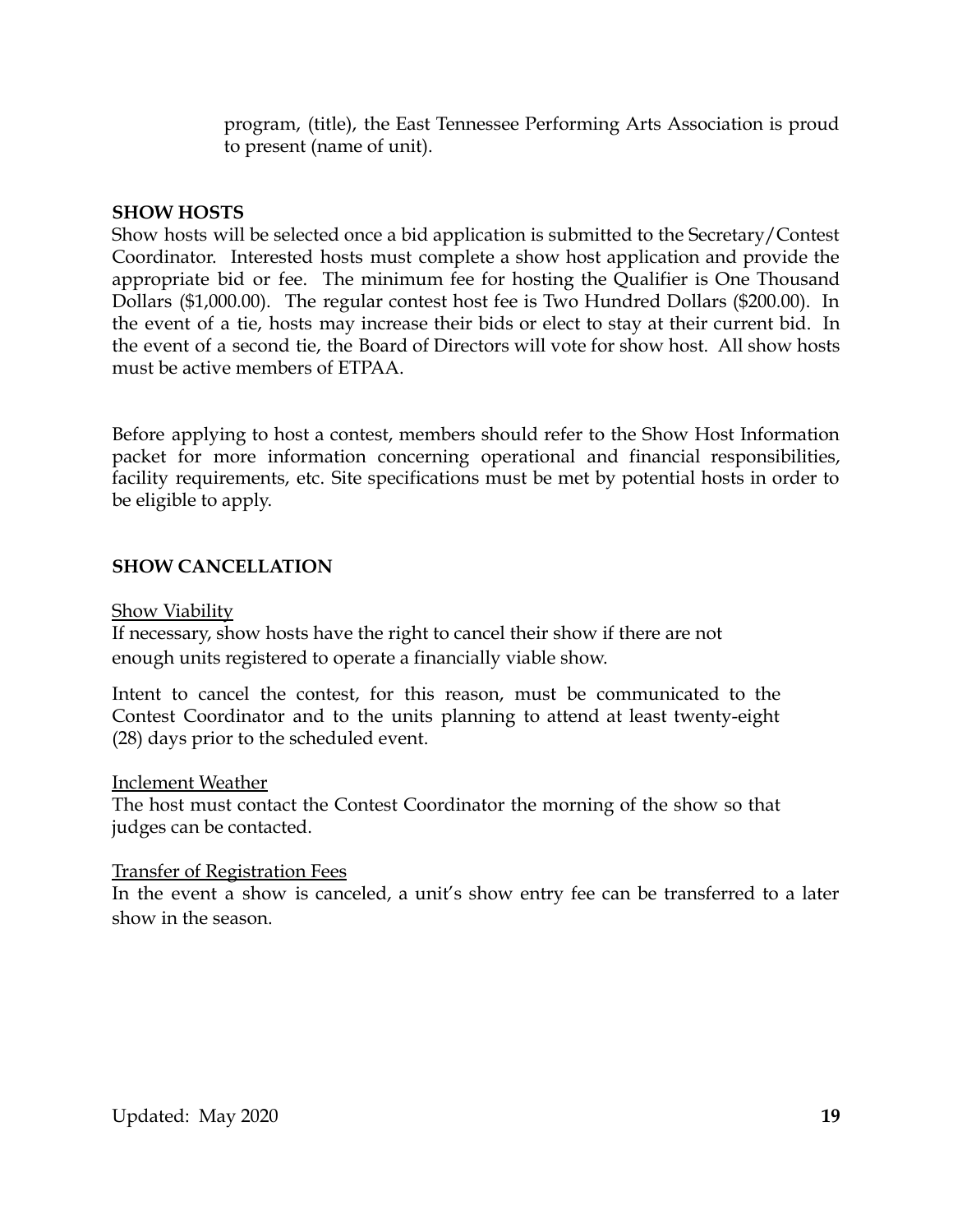program, (title), the East Tennessee Performing Arts Association is proud to present (name of unit).

#### **SHOW HOSTS**

Show hosts will be selected once a bid application is submitted to the Secretary/Contest Coordinator. Interested hosts must complete a show host application and provide the appropriate bid or fee. The minimum fee for hosting the Qualifier is One Thousand Dollars (\$1,000.00). The regular contest host fee is Two Hundred Dollars (\$200.00). In the event of a tie, hosts may increase their bids or elect to stay at their current bid. In the event of a second tie, the Board of Directors will vote for show host. All show hosts must be active members of ETPAA.

Before applying to host a contest, members should refer to the Show Host Information packet for more information concerning operational and financial responsibilities, facility requirements, etc. Site specifications must be met by potential hosts in order to be eligible to apply.

#### **SHOW CANCELLATION**

#### Show Viability

If necessary, show hosts have the right to cancel their show if there are not enough units registered to operate a financially viable show.

Intent to cancel the contest, for this reason, must be communicated to the Contest Coordinator and to the units planning to attend at least twenty-eight (28) days prior to the scheduled event.

#### Inclement Weather

The host must contact the Contest Coordinator the morning of the show so that judges can be contacted.

#### Transfer of Registration Fees

In the event a show is canceled, a unit's show entry fee can be transferred to a later show in the season.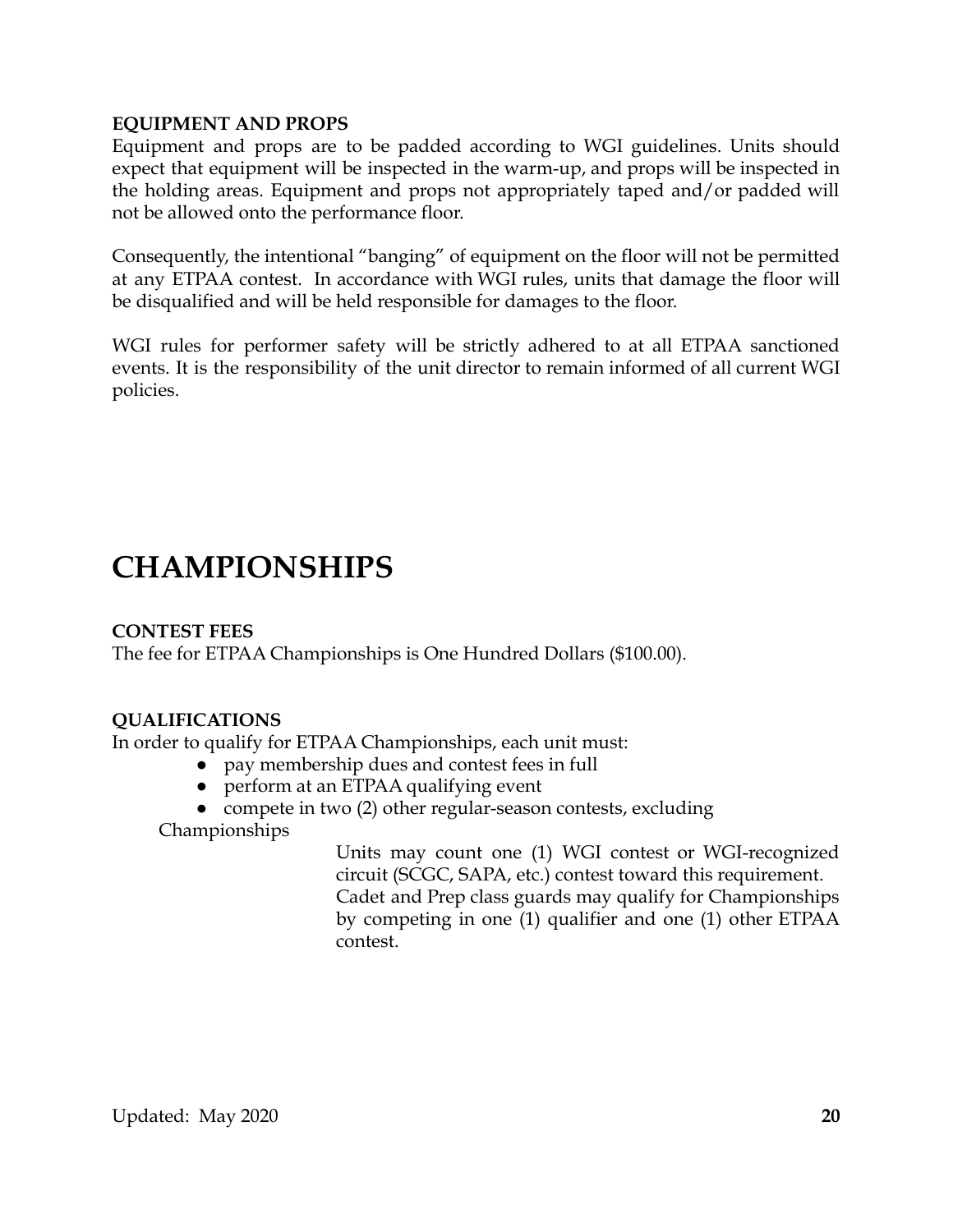#### **EQUIPMENT AND PROPS**

Equipment and props are to be padded according to WGI guidelines. Units should expect that equipment will be inspected in the warm-up, and props will be inspected in the holding areas. Equipment and props not appropriately taped and/or padded will not be allowed onto the performance floor.

Consequently, the intentional "banging" of equipment on the floor will not be permitted at any ETPAA contest. In accordance with WGI rules, units that damage the floor will be disqualified and will be held responsible for damages to the floor.

WGI rules for performer safety will be strictly adhered to at all ETPAA sanctioned events. It is the responsibility of the unit director to remain informed of all current WGI policies.

### **CHAMPIONSHIPS**

#### **CONTEST FEES**

The fee for ETPAA Championships is One Hundred Dollars (\$100.00).

#### **QUALIFICATIONS**

In order to qualify for ETPAA Championships, each unit must:

- pay membership dues and contest fees in full
- perform at an ETPAA qualifying event
- compete in two (2) other regular-season contests, excluding

Championships

Units may count one (1) WGI contest or WGI-recognized circuit (SCGC, SAPA, etc.) contest toward this requirement. Cadet and Prep class guards may qualify for Championships by competing in one (1) qualifier and one (1) other ETPAA contest.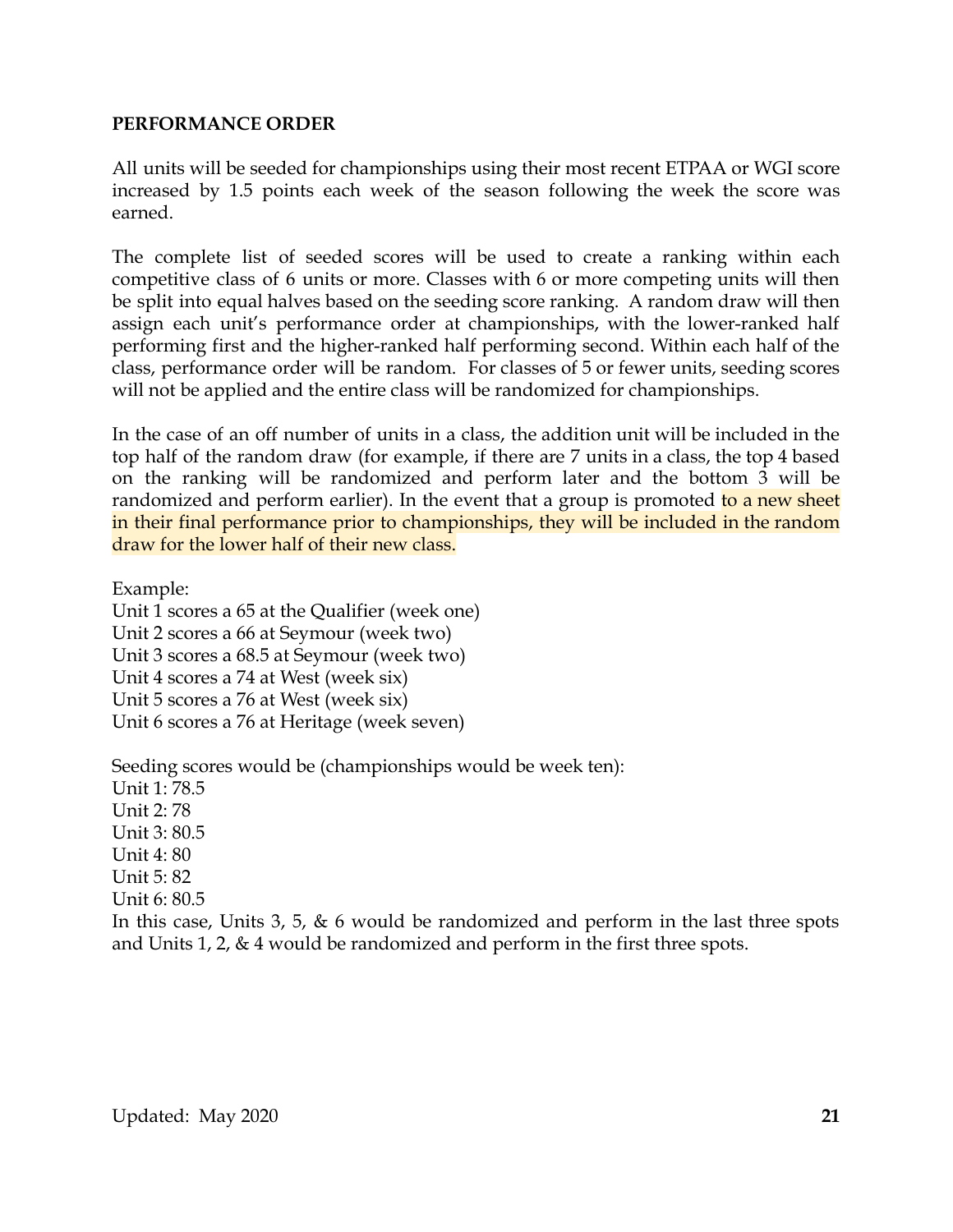#### **PERFORMANCE ORDER**

All units will be seeded for championships using their most recent ETPAA or WGI score increased by 1.5 points each week of the season following the week the score was earned.

The complete list of seeded scores will be used to create a ranking within each competitive class of 6 units or more. Classes with 6 or more competing units will then be split into equal halves based on the seeding score ranking. A random draw will then assign each unit's performance order at championships, with the lower-ranked half performing first and the higher-ranked half performing second. Within each half of the class, performance order will be random. For classes of 5 or fewer units, seeding scores will not be applied and the entire class will be randomized for championships.

In the case of an off number of units in a class, the addition unit will be included in the top half of the random draw (for example, if there are 7 units in a class, the top 4 based on the ranking will be randomized and perform later and the bottom 3 will be randomized and perform earlier). In the event that a group is promoted to a new sheet in their final performance prior to championships, they will be included in the random draw for the lower half of their new class.

Example:

Unit 1 scores a 65 at the Qualifier (week one) Unit 2 scores a 66 at Seymour (week two) Unit 3 scores a 68.5 at Seymour (week two) Unit 4 scores a 74 at West (week six) Unit 5 scores a 76 at West (week six) Unit 6 scores a 76 at Heritage (week seven)

Seeding scores would be (championships would be week ten): Unit 1: 78.5 Unit 2: 78 Unit 3: 80.5 Unit 4: 80 Unit 5: 82 Unit 6: 80.5 In this case, Units 3, 5,  $\&$  6 would be randomized and perform in the last three spots and Units 1, 2, & 4 would be randomized and perform in the first three spots.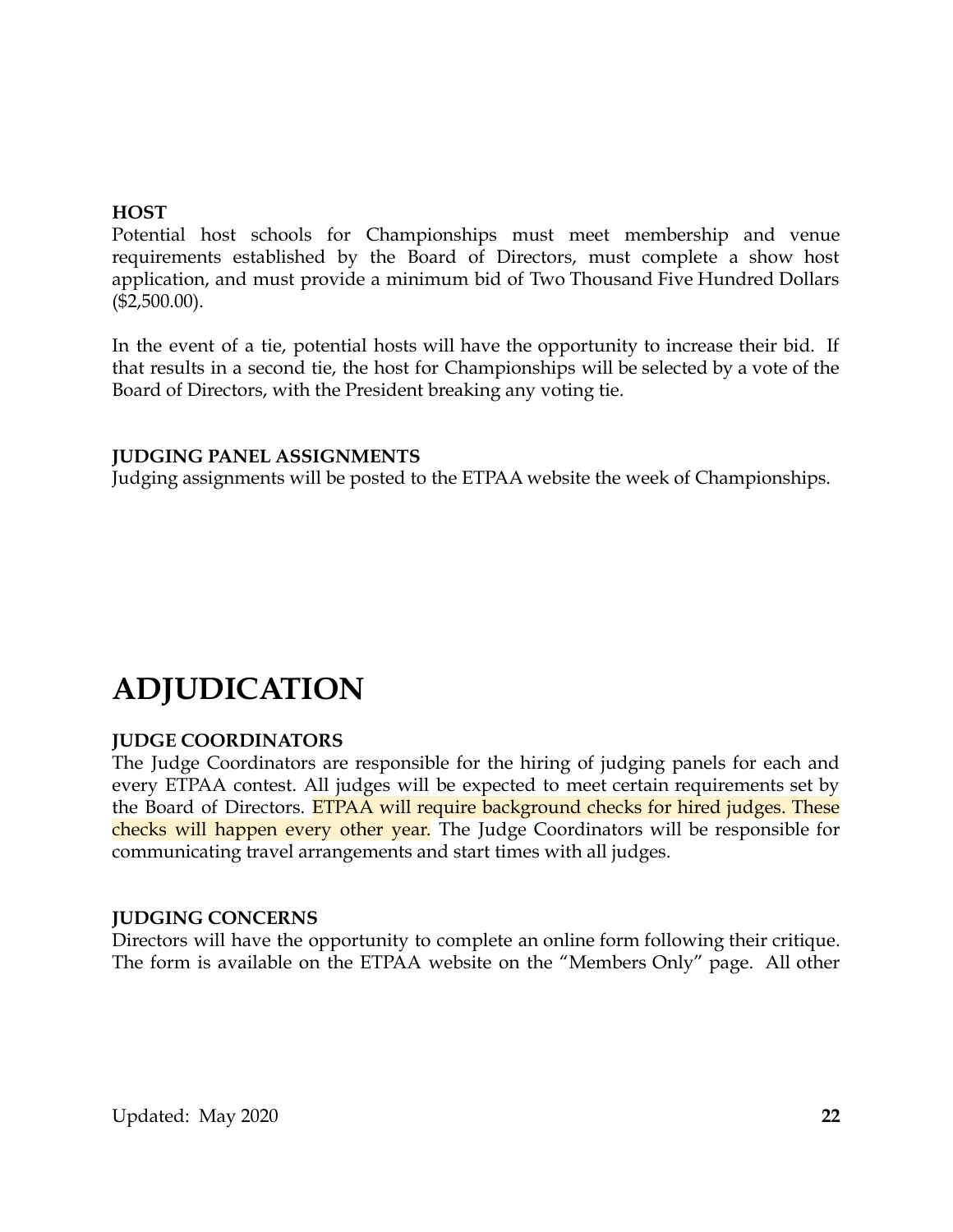#### **HOST**

Potential host schools for Championships must meet membership and venue requirements established by the Board of Directors, must complete a show host application, and must provide a minimum bid of Two Thousand Five Hundred Dollars  $($2,500.00)$ .

In the event of a tie, potential hosts will have the opportunity to increase their bid. If that results in a second tie, the host for Championships will be selected by a vote of the Board of Directors, with the President breaking any voting tie.

#### **JUDGING PANEL ASSIGNMENTS**

Judging assignments will be posted to the ETPAA website the week of Championships.

### **ADJUDICATION**

#### **JUDGE COORDINATORS**

The Judge Coordinators are responsible for the hiring of judging panels for each and every ETPAA contest. All judges will be expected to meet certain requirements set by the Board of Directors. ETPAA will require background checks for hired judges. These checks will happen every other year. The Judge Coordinators will be responsible for communicating travel arrangements and start times with all judges.

#### **JUDGING CONCERNS**

Directors will have the opportunity to complete an online form following their critique. The form is available on the ETPAA website on the "Members Only" page. All other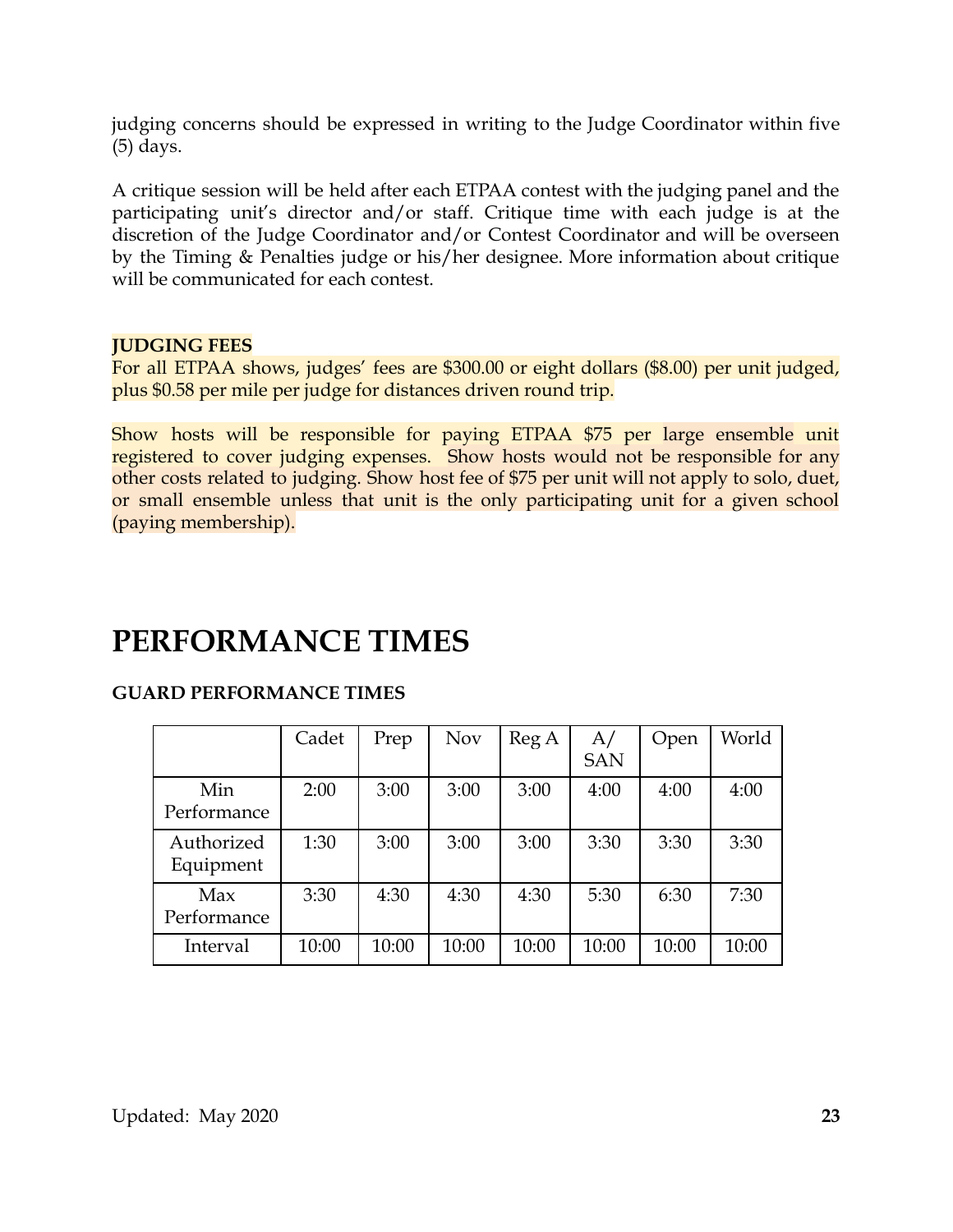judging concerns should be expressed in writing to the Judge Coordinator within five (5) days.

A critique session will be held after each ETPAA contest with the judging panel and the participating unit's director and/or staff. Critique time with each judge is at the discretion of the Judge Coordinator and/or Contest Coordinator and will be overseen by the Timing & Penalties judge or his/her designee. More information about critique will be communicated for each contest.

#### **JUDGING FEES**

For all ETPAA shows, judges' fees are \$300.00 or eight dollars (\$8.00) per unit judged, plus \$0.58 per mile per judge for distances driven round trip.

Show hosts will be responsible for paying ETPAA \$75 per large ensemble unit registered to cover judging expenses. Show hosts would not be responsible for any other costs related to judging. Show host fee of \$75 per unit will not apply to solo, duet, or small ensemble unless that unit is the only participating unit for a given school (paying membership).

### **PERFORMANCE TIMES**

#### **GUARD PERFORMANCE TIMES**

|                         | Cadet | Prep  | <b>Nov</b> | Reg A | A/<br><b>SAN</b> | Open  | World |
|-------------------------|-------|-------|------------|-------|------------------|-------|-------|
| Min<br>Performance      | 2:00  | 3:00  | 3:00       | 3:00  | 4:00             | 4:00  | 4:00  |
| Authorized<br>Equipment | 1:30  | 3:00  | 3:00       | 3:00  | 3:30             | 3:30  | 3:30  |
| Max<br>Performance      | 3:30  | 4:30  | 4:30       | 4:30  | 5:30             | 6:30  | 7:30  |
| Interval                | 10:00 | 10:00 | 10:00      | 10:00 | 10:00            | 10:00 | 10:00 |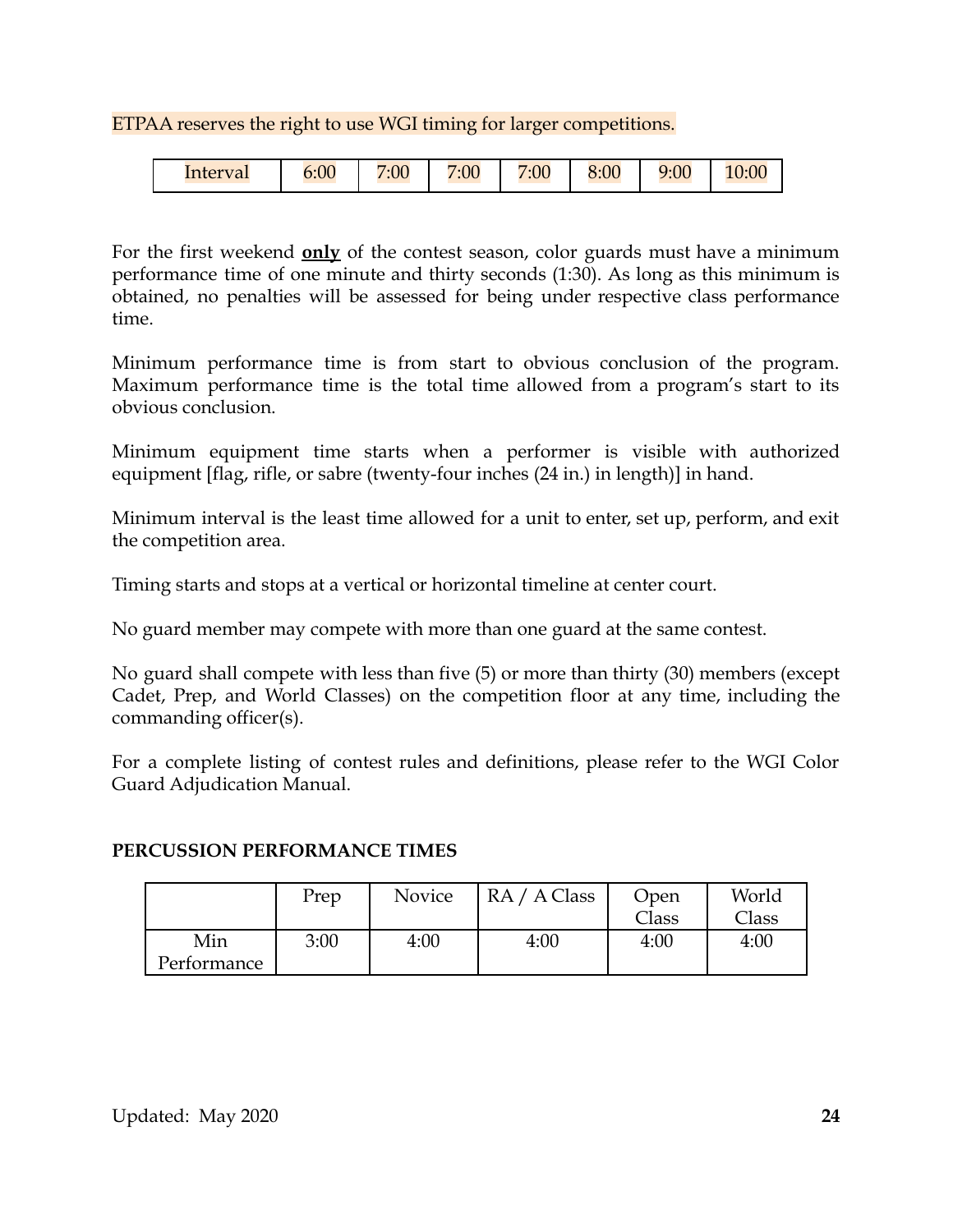ETPAA reserves the right to use WGI timing for larger competitions.

| Interval | 6:00 | 2:00 | 7:00 | 2:00 | 5:00 | 9:00 | 10:00 |
|----------|------|------|------|------|------|------|-------|
|----------|------|------|------|------|------|------|-------|

For the first weekend **only** of the contest season, color guards must have a minimum performance time of one minute and thirty seconds (1:30). As long as this minimum is obtained, no penalties will be assessed for being under respective class performance time.

Minimum performance time is from start to obvious conclusion of the program. Maximum performance time is the total time allowed from a program's start to its obvious conclusion.

Minimum equipment time starts when a performer is visible with authorized equipment [flag, rifle, or sabre (twenty-four inches (24 in.) in length)] in hand.

Minimum interval is the least time allowed for a unit to enter, set up, perform, and exit the competition area.

Timing starts and stops at a vertical or horizontal timeline at center court.

No guard member may compete with more than one guard at the same contest.

No guard shall compete with less than five (5) or more than thirty (30) members (except Cadet, Prep, and World Classes) on the competition floor at any time, including the commanding officer(s).

For a complete listing of contest rules and definitions, please refer to the WGI Color Guard Adjudication Manual.

#### **PERCUSSION PERFORMANCE TIMES**

|                    | Prep | Novice | RA / A Class | Open<br>Class | World<br>Class |
|--------------------|------|--------|--------------|---------------|----------------|
| Min<br>Performance | 3:00 | 4:00   | 4:00         | 4:00          | 4:00           |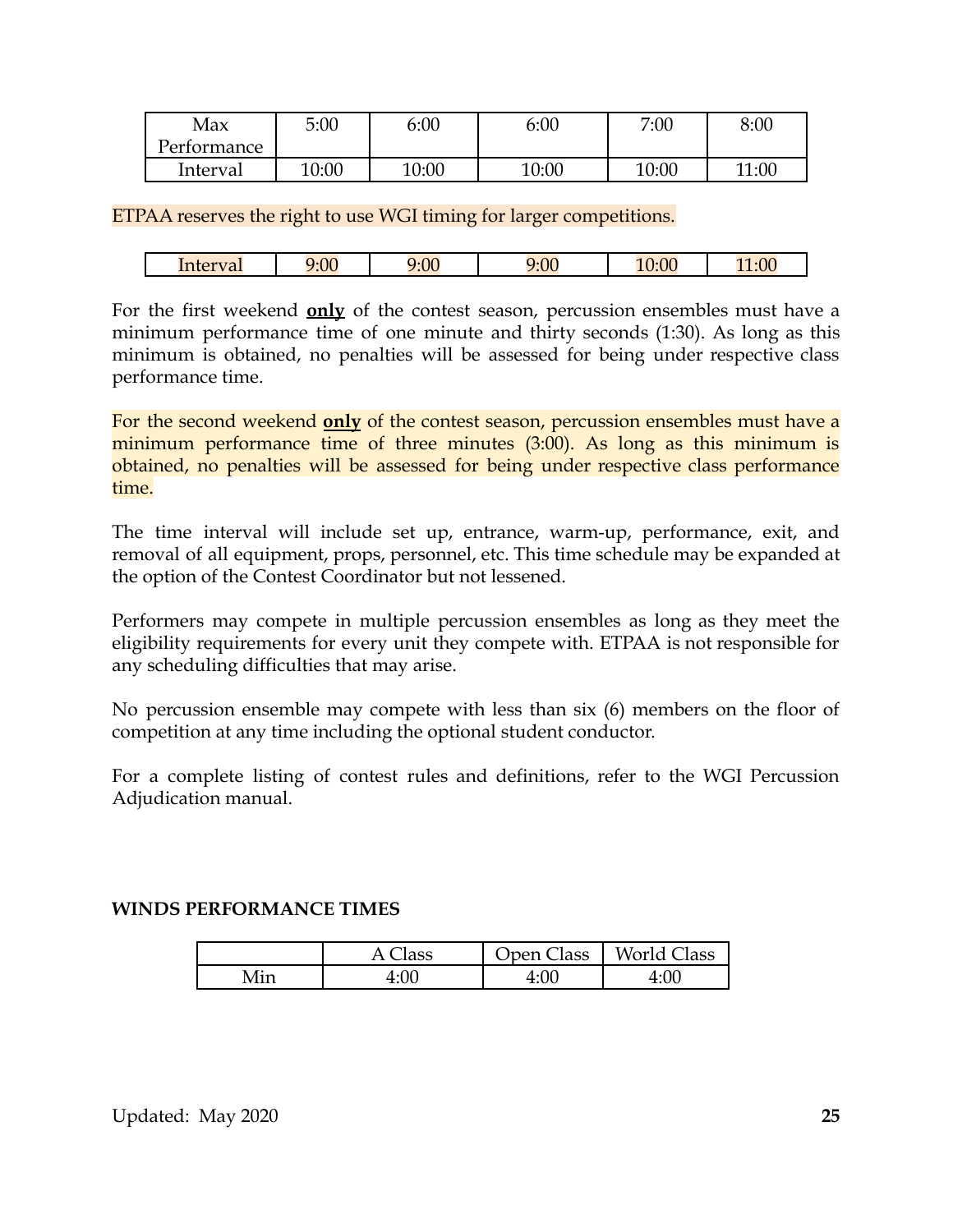| Max         | 5:00  | 6:00  | 6:00  | 7:00  | 8:00  |
|-------------|-------|-------|-------|-------|-------|
| Performance |       |       |       |       |       |
| Interval    | 10:00 | 10:00 | 10:00 | 10:00 | 11:00 |

ETPAA reserves the right to use WGI timing for larger competitions.

| Interval | 9:00 | .00 | .00 | 10:00 | 4:00 |
|----------|------|-----|-----|-------|------|
|----------|------|-----|-----|-------|------|

For the first weekend **only** of the contest season, percussion ensembles must have a minimum performance time of one minute and thirty seconds (1:30). As long as this minimum is obtained, no penalties will be assessed for being under respective class performance time.

For the second weekend **only** of the contest season, percussion ensembles must have a minimum performance time of three minutes (3:00). As long as this minimum is obtained, no penalties will be assessed for being under respective class performance time.

The time interval will include set up, entrance, warm-up, performance, exit, and removal of all equipment, props, personnel, etc. This time schedule may be expanded at the option of the Contest Coordinator but not lessened.

Performers may compete in multiple percussion ensembles as long as they meet the eligibility requirements for every unit they compete with. ETPAA is not responsible for any scheduling difficulties that may arise.

No percussion ensemble may compete with less than six (6) members on the floor of competition at any time including the optional student conductor.

For a complete listing of contest rules and definitions, refer to the WGI Percussion Adjudication manual.

#### **WINDS PERFORMANCE TIMES**

|                 | lass | $\bigcap_{n \in \mathbb{N}}$<br>lass | <b>World Class</b> |
|-----------------|------|--------------------------------------|--------------------|
| $\Lambda$ is an | :00  | .ስር                                  |                    |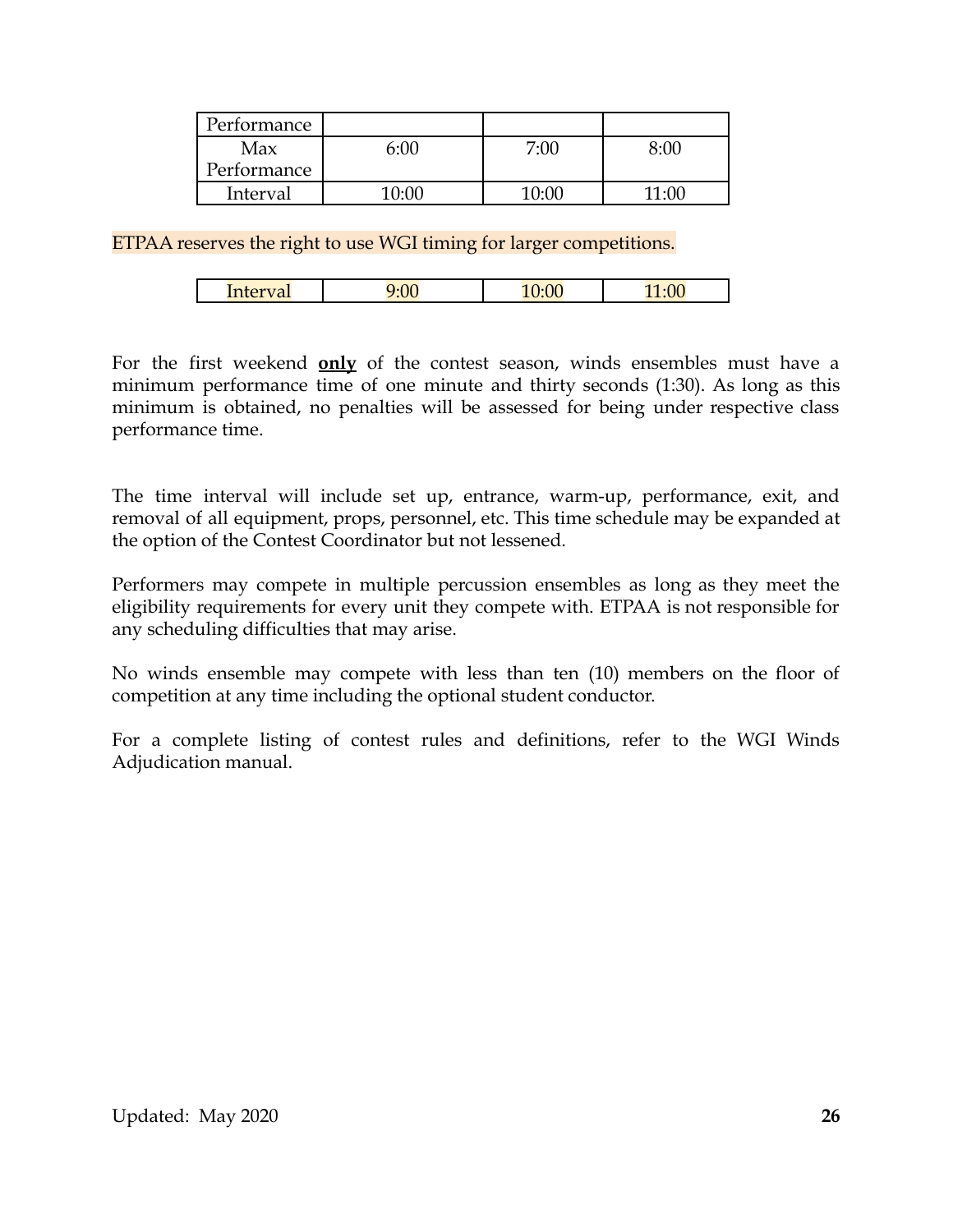| Performance |       |      |       |
|-------------|-------|------|-------|
| Max         | 6:00  | 7:00 | 8.00  |
| Performance |       |      |       |
| Interval    | 10.00 | 1በ ብ | 11.NO |

#### ETPAA reserves the right to use WGI timing for larger competitions.

| $\sim$ $\sim$<br>nr<br>Intrz1<br><b>161</b><br>interval<br>$\mathbf{u}$<br>$\sim$ |  |
|-----------------------------------------------------------------------------------|--|
|-----------------------------------------------------------------------------------|--|

For the first weekend **only** of the contest season, winds ensembles must have a minimum performance time of one minute and thirty seconds (1:30). As long as this minimum is obtained, no penalties will be assessed for being under respective class performance time.

The time interval will include set up, entrance, warm-up, performance, exit, and removal of all equipment, props, personnel, etc. This time schedule may be expanded at the option of the Contest Coordinator but not lessened.

Performers may compete in multiple percussion ensembles as long as they meet the eligibility requirements for every unit they compete with. ETPAA is not responsible for any scheduling difficulties that may arise.

No winds ensemble may compete with less than ten (10) members on the floor of competition at any time including the optional student conductor.

For a complete listing of contest rules and definitions, refer to the WGI Winds Adjudication manual.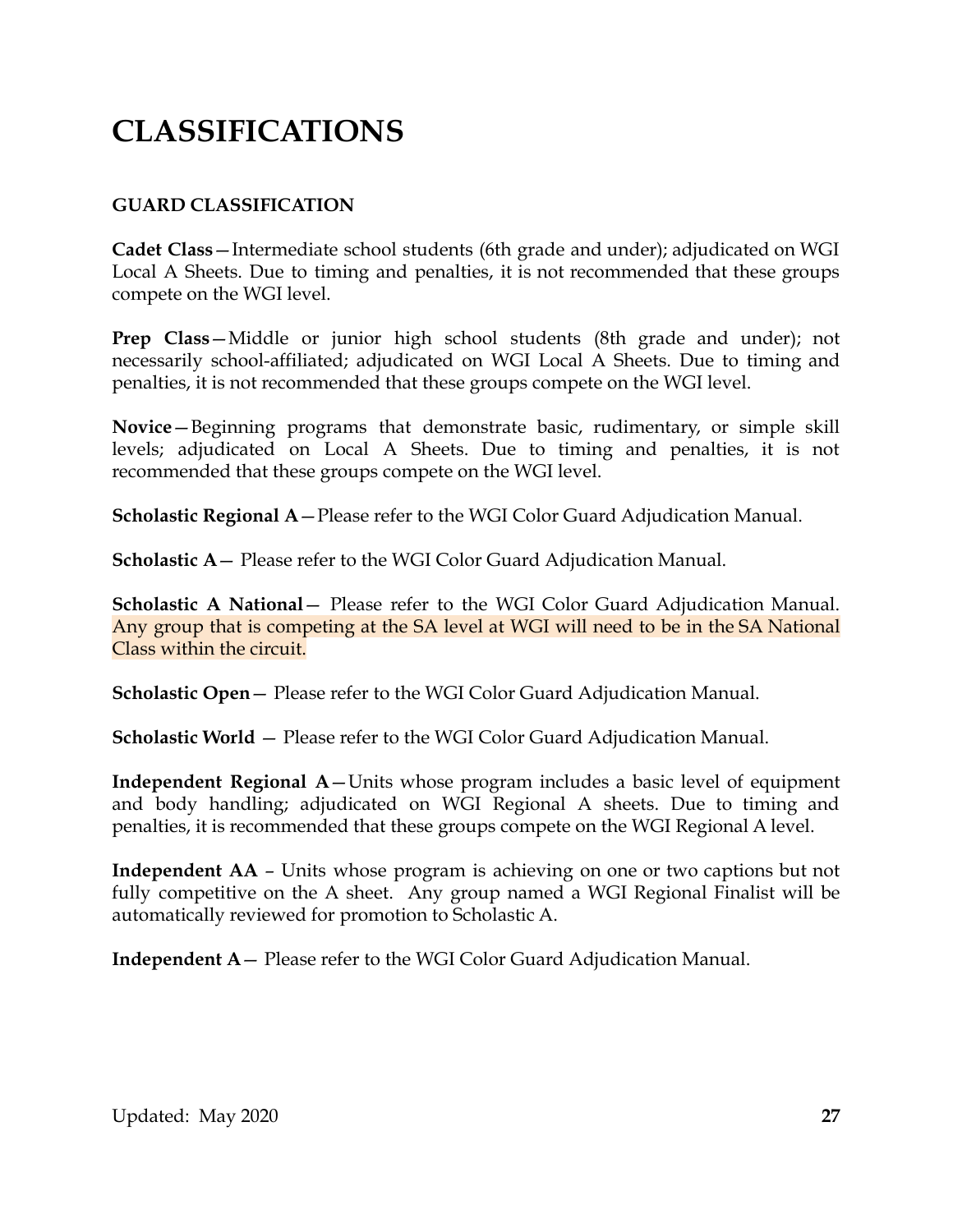### **CLASSIFICATIONS**

#### **GUARD CLASSIFICATION**

**Cadet Class**—Intermediate school students (6th grade and under); adjudicated on WGI Local A Sheets. Due to timing and penalties, it is not recommended that these groups compete on the WGI level.

**Prep Class**—Middle or junior high school students (8th grade and under); not necessarily school-affiliated; adjudicated on WGI Local A Sheets. Due to timing and penalties, it is not recommended that these groups compete on the WGI level.

**Novice**—Beginning programs that demonstrate basic, rudimentary, or simple skill levels; adjudicated on Local A Sheets. Due to timing and penalties, it is not recommended that these groups compete on the WGI level.

**Scholastic Regional A**—Please refer to the WGI Color Guard Adjudication Manual.

**Scholastic A**— Please refer to the WGI Color Guard Adjudication Manual.

**Scholastic A National**— Please refer to the WGI Color Guard Adjudication Manual. Any group that is competing at the SA level at WGI will need to be in the SA National Class within the circuit.

**Scholastic Open**— Please refer to the WGI Color Guard Adjudication Manual.

**Scholastic World** — Please refer to the WGI Color Guard Adjudication Manual.

**Independent Regional A–Units whose program includes a basic level of equipment** and body handling; adjudicated on WGI Regional A sheets. Due to timing and penalties, it is recommended that these groups compete on the WGI Regional A level.

**Independent AA** – Units whose program is achieving on one or two captions but not fully competitive on the A sheet. Any group named a WGI Regional Finalist will be automatically reviewed for promotion to Scholastic A.

**Independent A**— Please refer to the WGI Color Guard Adjudication Manual.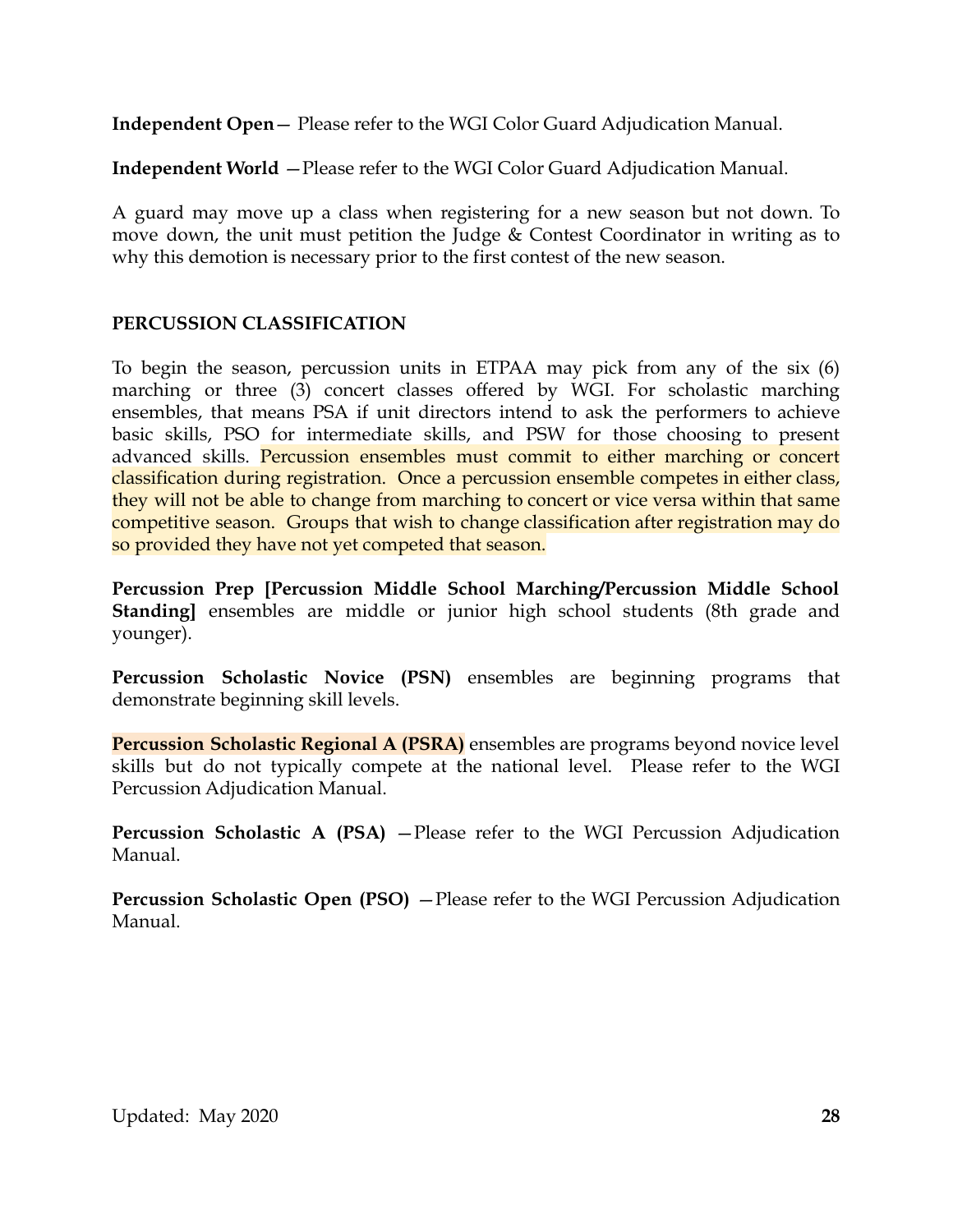**Independent Open**— Please refer to the WGI Color Guard Adjudication Manual.

**Independent World** —Please refer to the WGI Color Guard Adjudication Manual.

A guard may move up a class when registering for a new season but not down. To move down, the unit must petition the Judge & Contest Coordinator in writing as to why this demotion is necessary prior to the first contest of the new season.

#### **PERCUSSION CLASSIFICATION**

To begin the season, percussion units in ETPAA may pick from any of the six (6) marching or three (3) concert classes offered by WGI. For scholastic marching ensembles, that means PSA if unit directors intend to ask the performers to achieve basic skills, PSO for intermediate skills, and PSW for those choosing to present advanced skills. Percussion ensembles must commit to either marching or concert classification during registration. Once a percussion ensemble competes in either class, they will not be able to change from marching to concert or vice versa within that same competitive season. Groups that wish to change classification after registration may do so provided they have not yet competed that season.

**Percussion Prep [Percussion Middle School Marching/Percussion Middle School Standing]** ensembles are middle or junior high school students (8th grade and younger).

**Percussion Scholastic Novice (PSN)** ensembles are beginning programs that demonstrate beginning skill levels.

**Percussion Scholastic Regional A (PSRA)** ensembles are programs beyond novice level skills but do not typically compete at the national level. Please refer to the WGI Percussion Adjudication Manual.

**Percussion Scholastic A (PSA)** —Please refer to the WGI Percussion Adjudication Manual.

**Percussion Scholastic Open (PSO)** —Please refer to the WGI Percussion Adjudication Manual.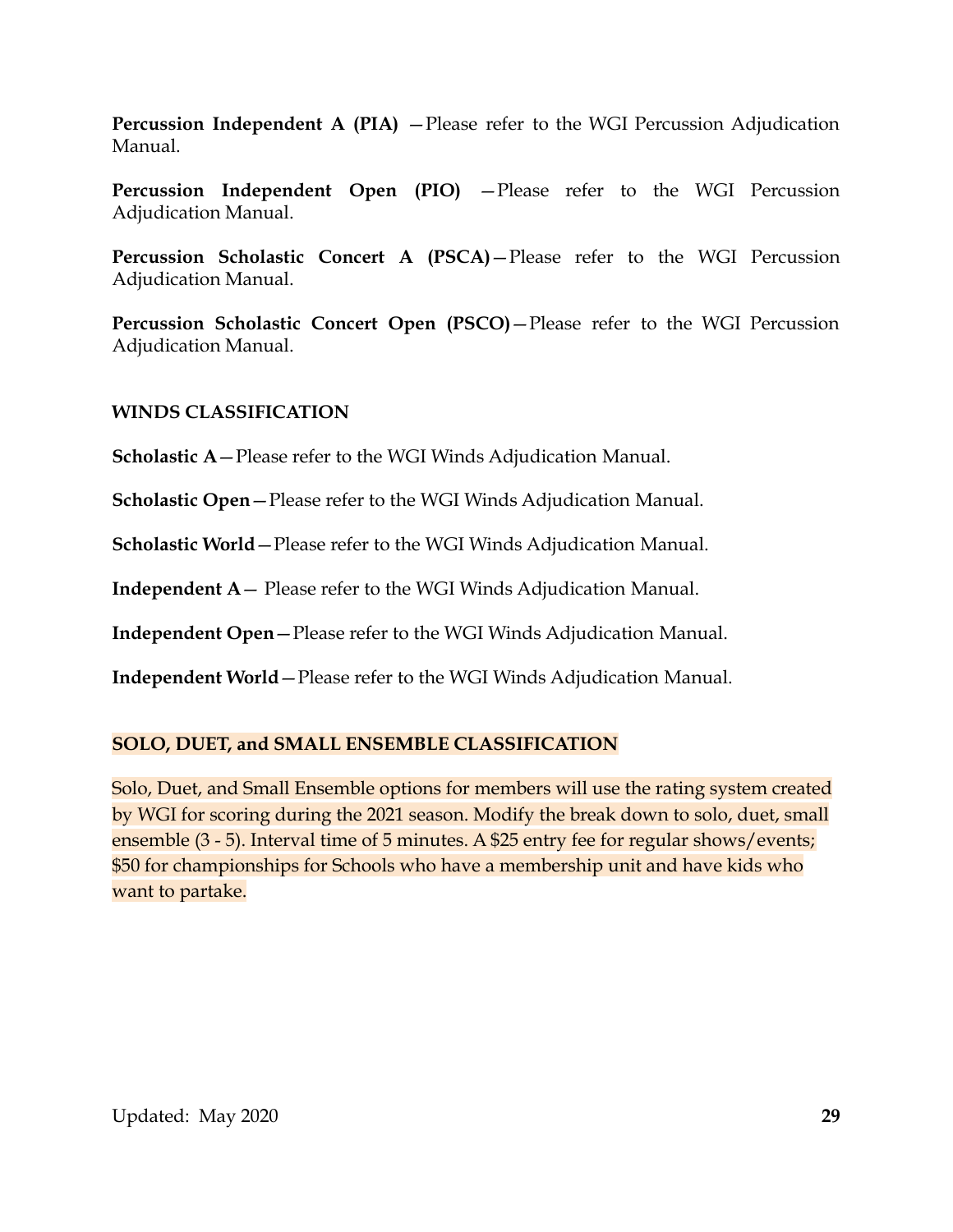**Percussion Independent A (PIA)** —Please refer to the WGI Percussion Adjudication Manual.

**Percussion Independent Open (PIO)** —Please refer to the WGI Percussion Adjudication Manual.

**Percussion Scholastic Concert A (PSCA)**—Please refer to the WGI Percussion Adjudication Manual.

**Percussion Scholastic Concert Open (PSCO)**—Please refer to the WGI Percussion Adjudication Manual.

#### **WINDS CLASSIFICATION**

**Scholastic A**—Please refer to the WGI Winds Adjudication Manual.

**Scholastic Open**—Please refer to the WGI Winds Adjudication Manual.

**Scholastic World**—Please refer to the WGI Winds Adjudication Manual.

**Independent A**— Please refer to the WGI Winds Adjudication Manual.

**Independent Open**—Please refer to the WGI Winds Adjudication Manual.

**Independent World**—Please refer to the WGI Winds Adjudication Manual.

#### **SOLO, DUET, and SMALL ENSEMBLE CLASSIFICATION**

Solo, Duet, and Small Ensemble options for members will use the rating system created by WGI for scoring during the 2021 season. Modify the break down to solo, duet, small ensemble (3 - 5). Interval time of 5 minutes. A \$25 entry fee for regular shows/events; \$50 for championships for Schools who have a membership unit and have kids who want to partake.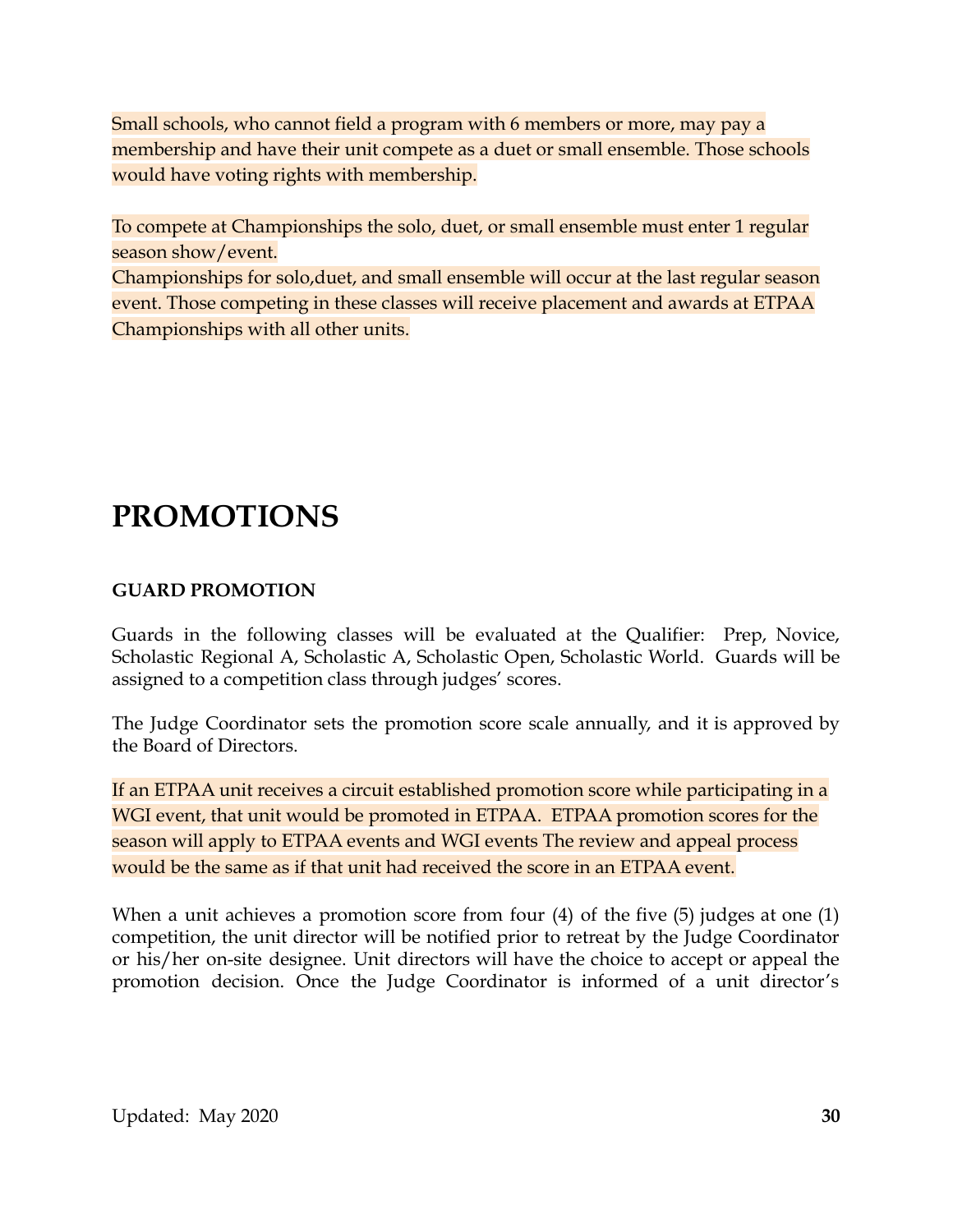Small schools, who cannot field a program with 6 members or more, may pay a membership and have their unit compete as a duet or small ensemble. Those schools would have voting rights with membership.

To compete at Championships the solo, duet, or small ensemble must enter 1 regular season show/event.

Championships for solo,duet, and small ensemble will occur at the last regular season event. Those competing in these classes will receive placement and awards at ETPAA Championships with all other units.

### **PROMOTIONS**

#### **GUARD PROMOTION**

Guards in the following classes will be evaluated at the Qualifier: Prep, Novice, Scholastic Regional A, Scholastic A, Scholastic Open, Scholastic World. Guards will be assigned to a competition class through judges' scores.

The Judge Coordinator sets the promotion score scale annually, and it is approved by the Board of Directors.

If an ETPAA unit receives a circuit established promotion score while participating in a WGI event, that unit would be promoted in ETPAA. ETPAA promotion scores for the season will apply to ETPAA events and WGI events The review and appeal process would be the same as if that unit had received the score in an ETPAA event.

When a unit achieves a promotion score from four (4) of the five (5) judges at one (1) competition, the unit director will be notified prior to retreat by the Judge Coordinator or his/her on-site designee. Unit directors will have the choice to accept or appeal the promotion decision. Once the Judge Coordinator is informed of a unit director's